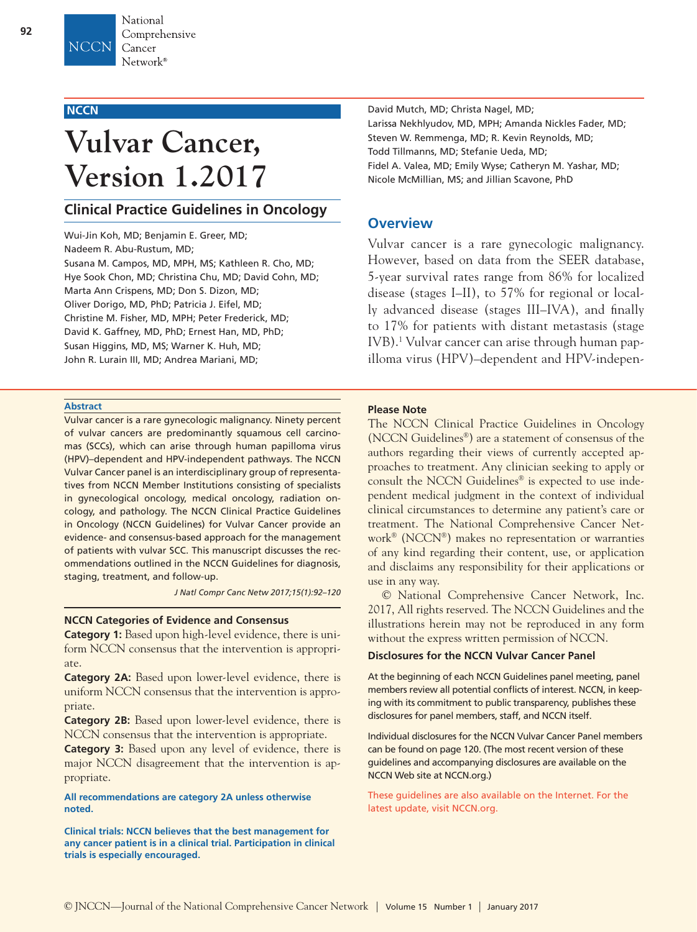# **NCCN**

# **Vulvar Cancer, Version 1.2017**

# **Clinical Practice Guidelines in Oncology**

Wui-Jin Koh, MD; Benjamin E. Greer, MD; Nadeem R. Abu-Rustum, MD; Susana M. Campos, MD, MPH, MS; Kathleen R. Cho, MD; Hye Sook Chon, MD; Christina Chu, MD; David Cohn, MD; Marta Ann Crispens, MD; Don S. Dizon, MD; Oliver Dorigo, MD, PhD; Patricia J. Eifel, MD; Christine M. Fisher, MD, MPH; Peter Frederick, MD; David K. Gaffney, MD, PhD; Ernest Han, MD, PhD; Susan Higgins, MD, MS; Warner K. Huh, MD; John R. Lurain III, MD; Andrea Mariani, MD;

#### **Abstract**

Vulvar cancer is a rare gynecologic malignancy. Ninety percent of vulvar cancers are predominantly squamous cell carcinomas (SCCs), which can arise through human papilloma virus (HPV)–dependent and HPV-independent pathways. The NCCN Vulvar Cancer panel is an interdisciplinary group of representatives from NCCN Member Institutions consisting of specialists in gynecological oncology, medical oncology, radiation oncology, and pathology. The NCCN Clinical Practice Guidelines in Oncology (NCCN Guidelines) for Vulvar Cancer provide an evidence- and consensus-based approach for the management of patients with vulvar SCC. This manuscript discusses the recommendations outlined in the NCCN Guidelines for diagnosis, staging, treatment, and follow-up.

*J Natl Compr Canc Netw 2017;15(1):92–120*

### **NCCN Categories of Evidence and Consensus**

**Category 1:** Based upon high-level evidence, there is uniform NCCN consensus that the intervention is appropriate.

**Category 2A:** Based upon lower-level evidence, there is uniform NCCN consensus that the intervention is appropriate.

**Category 2B:** Based upon lower-level evidence, there is NCCN consensus that the intervention is appropriate.

**Category 3:** Based upon any level of evidence, there is major NCCN disagreement that the intervention is appropriate.

**All recommendations are category 2A unless otherwise noted.**

**Clinical trials: NCCN believes that the best management for any cancer patient is in a clinical trial. Participation in clinical trials is especially encouraged.**

David Mutch, MD; Christa Nagel, MD; Larissa Nekhlyudov, MD, MPH; Amanda Nickles Fader, MD; Steven W. Remmenga, MD; R. Kevin Reynolds, MD; Todd Tillmanns, MD; Stefanie Ueda, MD; Fidel A. Valea, MD; Emily Wyse; Catheryn M. Yashar, MD; Nicole McMillian, MS; and Jillian Scavone, PhD

# **Overview**

Vulvar cancer is a rare gynecologic malignancy. However, based on data from the SEER database, 5-year survival rates range from 86% for localized disease (stages I–II), to 57% for regional or locally advanced disease (stages III–IVA), and finally to 17% for patients with distant metastasis (stage IVB).1 Vulvar cancer can arise through human papilloma virus (HPV)–dependent and HPV-indepen-

#### **Please Note**

The NCCN Clinical Practice Guidelines in Oncology (NCCN Guidelines®) are a statement of consensus of the authors regarding their views of currently accepted approaches to treatment. Any clinician seeking to apply or consult the NCCN Guidelines® is expected to use independent medical judgment in the context of individual clinical circumstances to determine any patient's care or treatment. The National Comprehensive Cancer Network® (NCCN®) makes no representation or warranties of any kind regarding their content, use, or application and disclaims any responsibility for their applications or use in any way.

© National Comprehensive Cancer Network, Inc. 2017, All rights reserved. The NCCN Guidelines and the illustrations herein may not be reproduced in any form without the express written permission of NCCN.

### **Disclosures for the NCCN Vulvar Cancer Panel**

At the beginning of each NCCN Guidelines panel meeting, panel members review all potential conflicts of interest. NCCN, in keeping with its commitment to public transparency, publishes these disclosures for panel members, staff, and NCCN itself.

Individual disclosures for the NCCN Vulvar Cancer Panel members can be found on page 120. (The most recent version of these guidelines and accompanying disclosures are available on the NCCN Web site at NCCN.org.)

These guidelines are also available on the Internet. For the latest update, visit NCCN.org.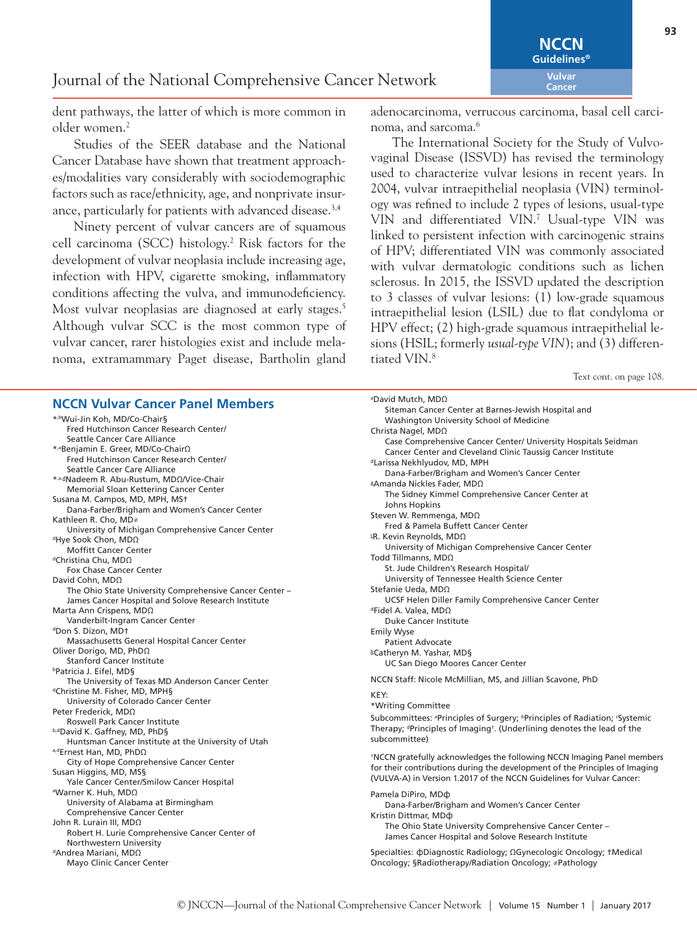dent pathways, the latter of which is more common in older women.2

Studies of the SEER database and the National Cancer Database have shown that treatment approaches/modalities vary considerably with sociodemographic factors such as race/ethnicity, age, and nonprivate insurance, particularly for patients with advanced disease.<sup>3,4</sup>

Ninety percent of vulvar cancers are of squamous cell carcinoma (SCC) histology.2 Risk factors for the development of vulvar neoplasia include increasing age, infection with HPV, cigarette smoking, inflammatory conditions affecting the vulva, and immunodeficiency. Most vulvar neoplasias are diagnosed at early stages.<sup>5</sup> Although vulvar SCC is the most common type of vulvar cancer, rarer histologies exist and include melanoma, extramammary Paget disease, Bartholin gland

### **NCCN Vulvar Cancer Panel Members**

\*,bWui-Jin Koh, MD/Co-Chair§ Fred Hutchinson Cancer Research Center/ Seattle Cancer Care Alliance \*,aBenjamin E. Greer, MD/Co-ChairΩ Fred Hutchinson Cancer Research Center/ Seattle Cancer Care Alliance \*,a,dNadeem R. Abu-Rustum, MDΩ/Vice-Chair Memorial Sloan Kettering Cancer Center Susana M. Campos, MD, MPH, MS† Dana-Farber/Brigham and Women's Cancer Center Kathleen R. Cho, MD≠ University of Michigan Comprehensive Cancer Center <sup>d</sup>Hye Sook Chon, MDΩ Moffitt Cancer Center dChristina Chu, MDΩ Fox Chase Cancer Center David Cohn, MDΩ The Ohio State University Comprehensive Cancer Center – James Cancer Hospital and Solove Research Institute Marta Ann Crispens, MDΩ Vanderbilt-Ingram Cancer Center dDon S. Dizon, MDt Massachusetts General Hospital Cancer Center Oliver Dorigo, MD, PhDΩ Stanford Cancer Institute bPatricia J. Eifel, MD§ The University of Texas MD Anderson Cancer Center dChristine M. Fisher, MD, MPH§ University of Colorado Cancer Center Peter Frederick, MDΩ Roswell Park Cancer Institute b,dDavid K. Gaffney, MD, PhD§ Huntsman Cancer Institute at the University of Utah a,dErnest Han, MD, PhDΩ City of Hope Comprehensive Cancer Center Susan Higgins, MD, MS§ Yale Cancer Center/Smilow Cancer Hospital a Warner K. Huh, MDΩ University of Alabama at Birmingham Comprehensive Cancer Center John R. Lurain III, MDΩ Robert H. Lurie Comprehensive Cancer Center of Northwestern University dAndrea Mariani, MDΩ Mayo Clinic Cancer Center

adenocarcinoma, verrucous carcinoma, basal cell carcinoma, and sarcoma.<sup>6</sup>

The International Society for the Study of Vulvovaginal Disease (ISSVD) has revised the terminology used to characterize vulvar lesions in recent years. In 2004, vulvar intraepithelial neoplasia (VIN) terminology was refined to include 2 types of lesions, usual-type VIN and differentiated VIN.7 Usual-type VIN was linked to persistent infection with carcinogenic strains of HPV; differentiated VIN was commonly associated with vulvar dermatologic conditions such as lichen sclerosus. In 2015, the ISSVD updated the description to 3 classes of vulvar lesions: (1) low-grade squamous intraepithelial lesion (LSIL) due to flat condyloma or HPV effect; (2) high-grade squamous intraepithelial lesions (HSIL; formerly *usual-type VIN*); and (3) differentiated VIN.<sup>8</sup>

Text cont. on page 108.

| <sup>a</sup> David Mutch, MDΩ                                                                                                  |
|--------------------------------------------------------------------------------------------------------------------------------|
| Siteman Cancer Center at Barnes-Jewish Hospital and<br>Washington University School of Medicine                                |
| Christa Nagel, MDΩ                                                                                                             |
| Case Comprehensive Cancer Center/ University Hospitals Seidman<br>Cancer Center and Cleveland Clinic Taussig Cancer Institute  |
| <sup>d</sup> Larissa Nekhlyudov, MD, MPH                                                                                       |
| Dana-Farber/Brigham and Women's Cancer Center                                                                                  |
| <sup>a</sup> Amanda Nickles Fader, MDΩ                                                                                         |
| The Sidney Kimmel Comprehensive Cancer Center at                                                                               |
| Johns Hopkins<br>Steven W. Remmenga, MDΩ                                                                                       |
| Fred & Pamela Buffett Cancer Center                                                                                            |
| <sup>ε</sup> R. Kevin Reynolds, MDΩ                                                                                            |
| University of Michigan Comprehensive Cancer Center                                                                             |
| Todd Tillmanns, MDΩ<br>St. Jude Children's Research Hospital/                                                                  |
| University of Tennessee Health Science Center                                                                                  |
| Stefanie Ueda, MDΩ                                                                                                             |
| UCSF Helen Diller Family Comprehensive Cancer Center<br><sup>d</sup> Fidel A. Valea, ΜDΩ                                       |
| <b>Duke Cancer Institute</b>                                                                                                   |
| <b>Emily Wyse</b>                                                                                                              |
| <b>Patient Advocate</b>                                                                                                        |
| <sup>b</sup> Catheryn M. Yashar, MD§<br><b>UC San Diego Moores Cancer Center</b>                                               |
|                                                                                                                                |
| NCCN Staff: Nicole McMillian, MS, and Jillian Scavone, PhD                                                                     |
| KEY:                                                                                                                           |
| *Writing Committee<br>Subcommittees: <sup>a</sup> Principles of Surgery; <sup>b</sup> Principles of Radiation; <i>Systemic</i> |
| Therapy; <sup>d</sup> Principles of Imaging <sup>†</sup> . (Underlining denotes the lead of the                                |
| subcommittee)                                                                                                                  |
| *NCCN gratefully acknowledges the following NCCN Imaging Panel members                                                         |
| for their contributions during the development of the Principles of Imaging                                                    |
| (VULVA-A) in Version 1.2017 of the NCCN Guidelines for Vulvar Cancer:                                                          |
| Pamela DiPiro, MD <sub>O</sub>                                                                                                 |
| Dana-Farber/Brigham and Women's Cancer Center                                                                                  |
| Kristin Dittmar, MD¢<br>The Ohio State University Comprehensive Cancer Center -                                                |
| James Cancer Hospital and Solove Research Institute                                                                            |
| Specialties: φDiagnostic Radiology; ΩGynecologic Oncology; †Medical                                                            |
| Oncology; §Radiotherapy/Radiation Oncology; ≠Pathology                                                                         |
|                                                                                                                                |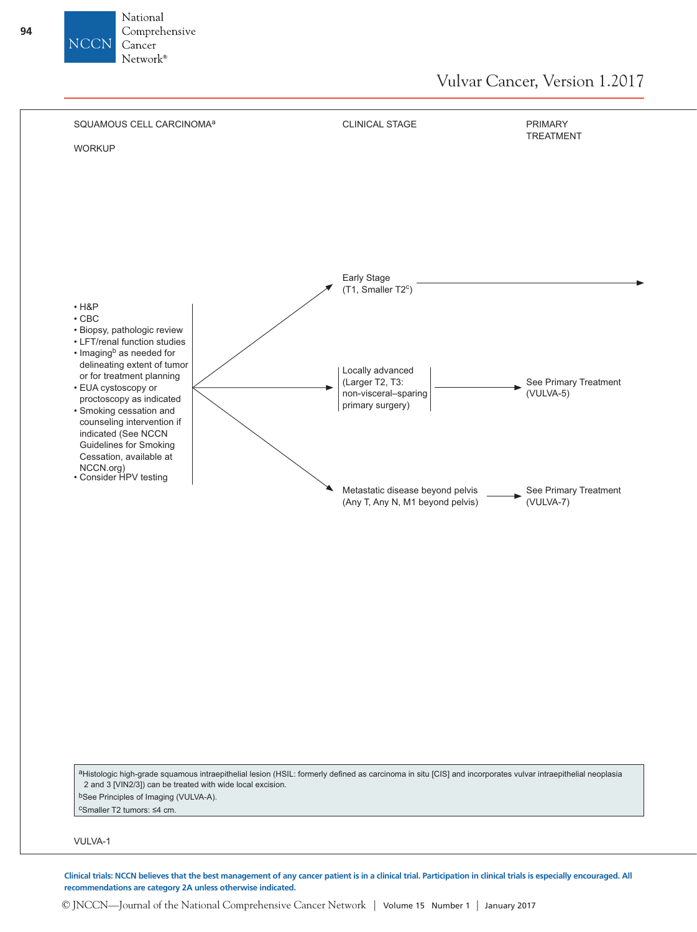

© JNCCN—Journal of the National Comprehensive Cancer Network | Volume 15 Number 1 | January 2017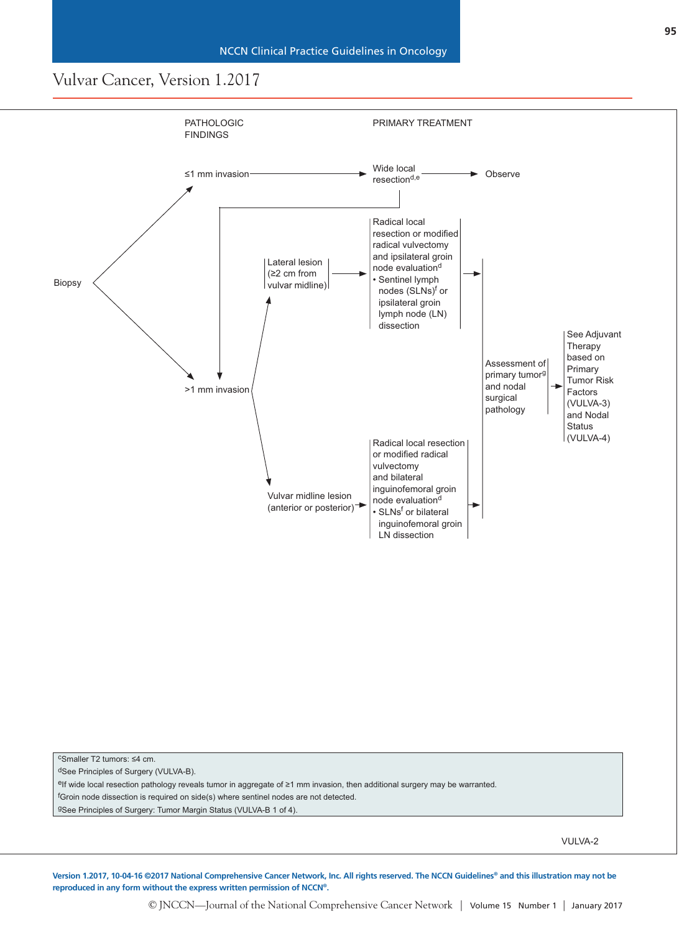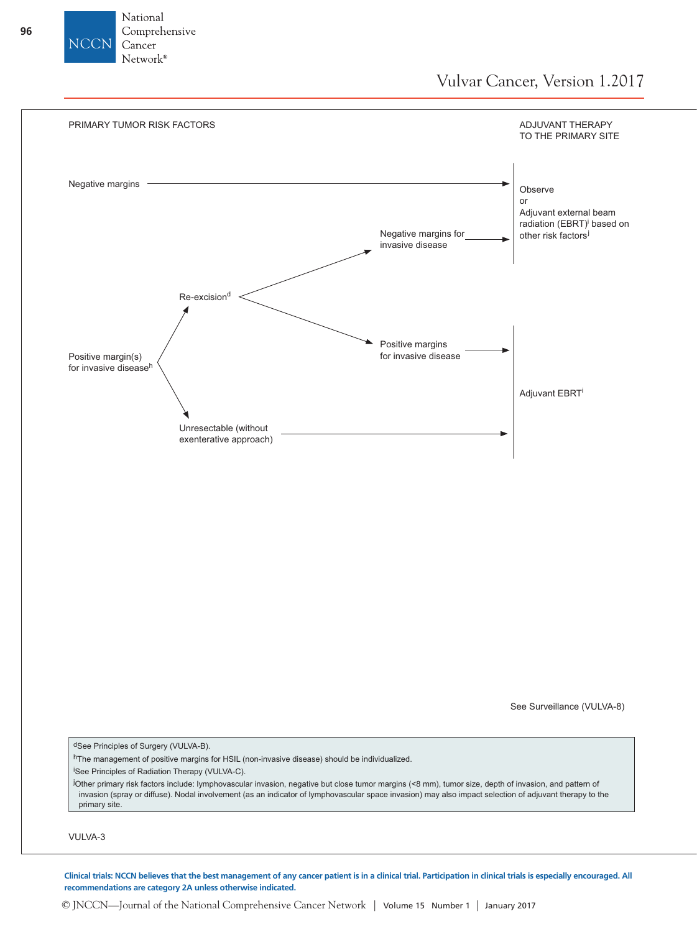



**Clinical trials: NCCN believes that the best management of any cancer patient is in a clinical trial. Participation in clinical trials is especially encouraged. All recommendations are category 2A unless otherwise indicated.**

© JNCCN—Journal of the National Comprehensive Cancer Network | Volume 15 Number 1 | January 2017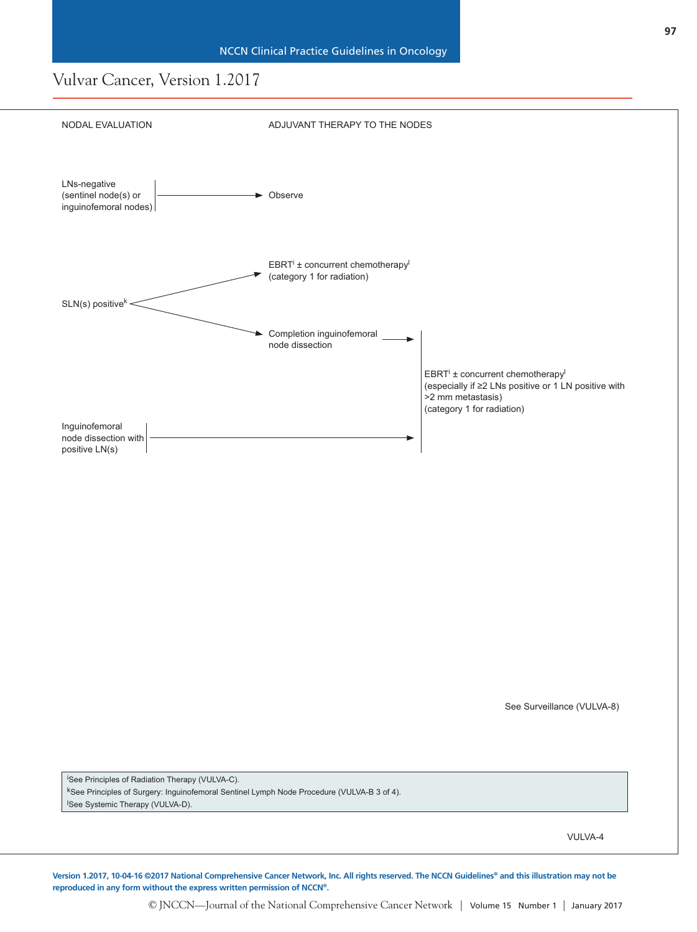

i See Principles of Radiation Therapy (VULVA-C). kSee Principles of Surgery: Inguinofemoral Sentinel Lymph Node Procedure (VULVA-B 3 of 4). l See Systemic Therapy (VULVA-D).

VULVA-4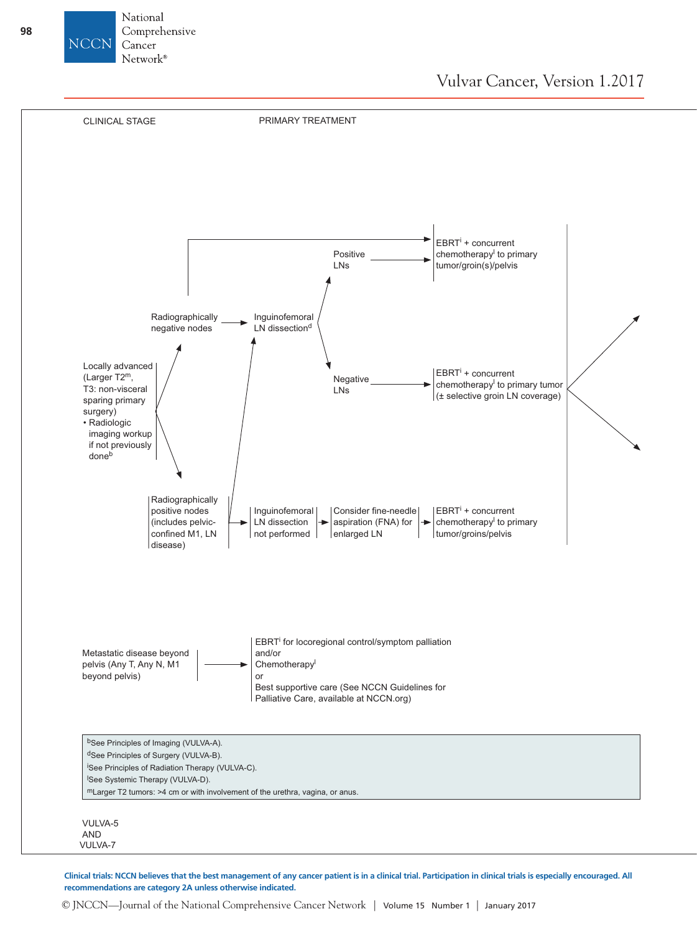



**Clinical trials: NCCN believes that the best management of any cancer patient is in a clinical trial. Participation in clinical trials is especially encouraged. All recommendations are category 2A unless otherwise indicated.**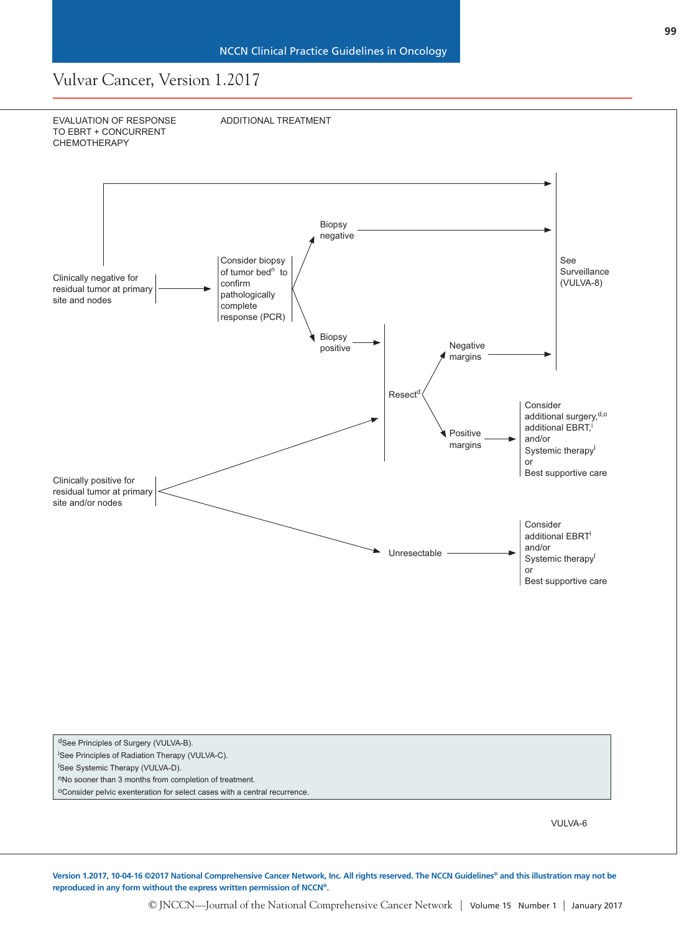

dSee Principles of Surgery (VULVA-B). i See Principles of Radiation Therapy (VULVA-C).

l See Systemic Therapy (VULVA-D).

nNo sooner than 3 months from completion of treatment.

oConsider pelvic exenteration for select cases with a central recurrence.

VULVA-6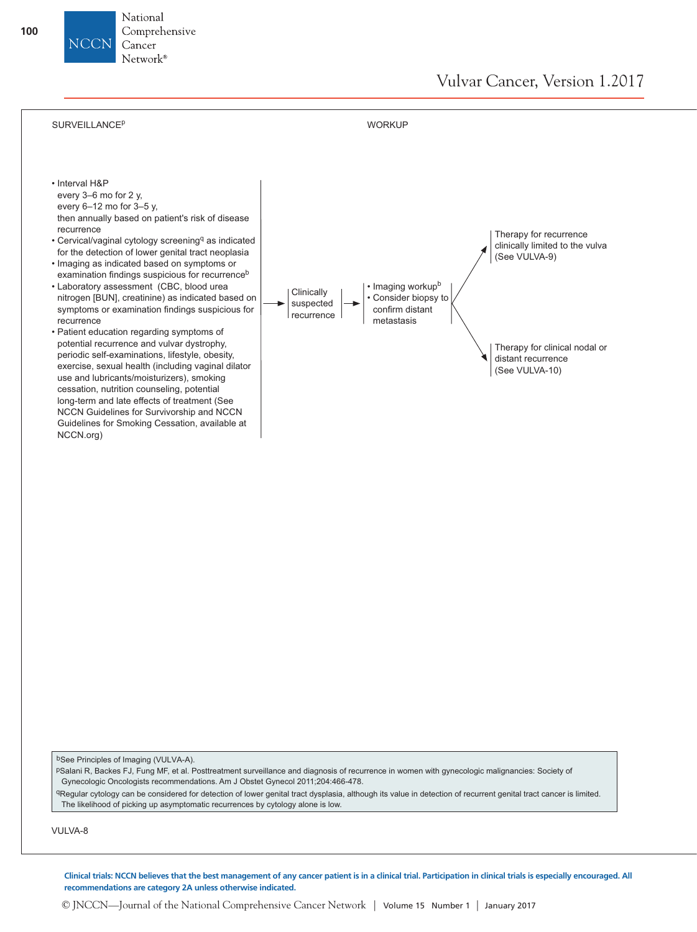

© JNCCN—Journal of the National Comprehensive Cancer Network | Volume 15 Number 1 | January 2017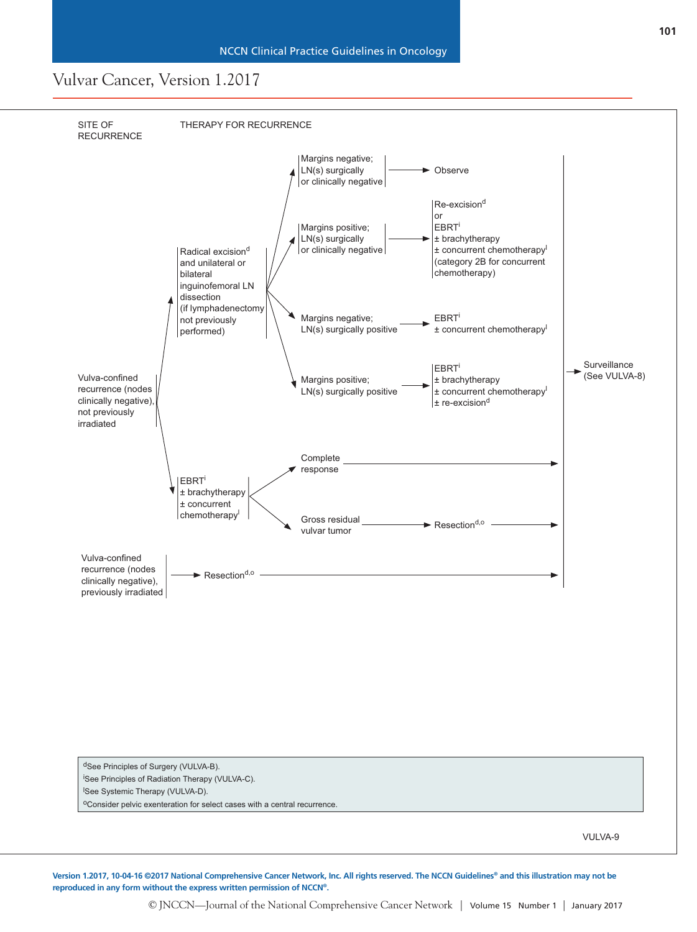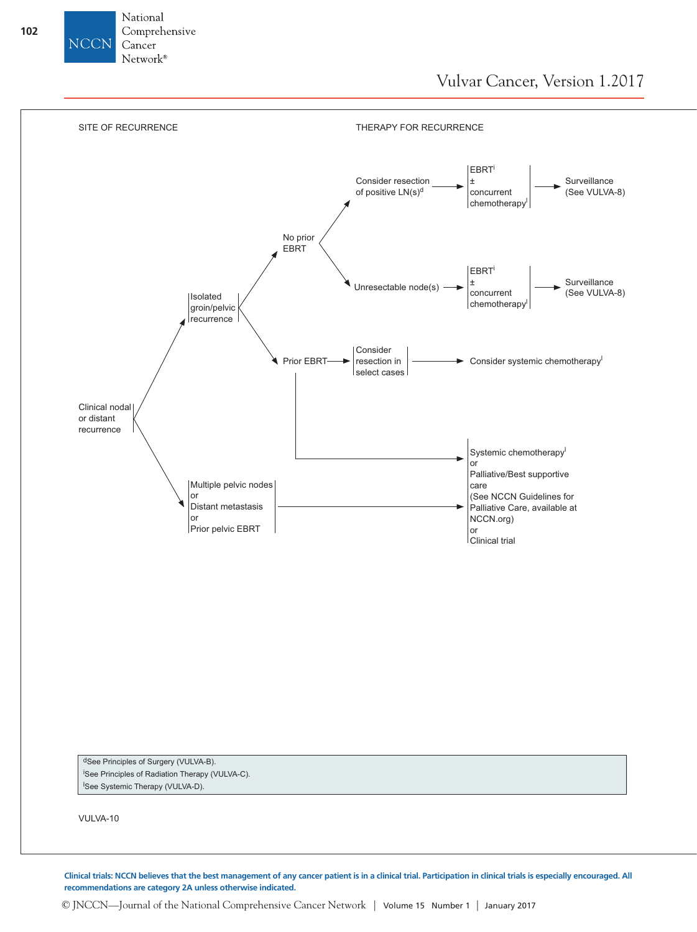



**Clinical trials: NCCN believes that the best management of any cancer patient is in a clinical trial. Participation in clinical trials is especially encouraged. All recommendations are category 2A unless otherwise indicated.**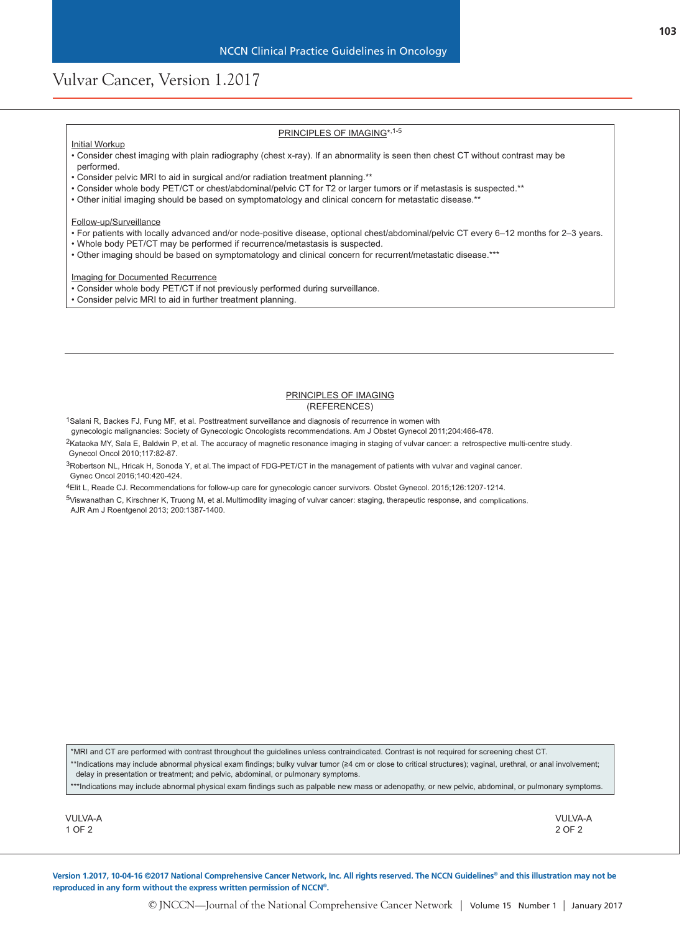### PRINCIPLES OF IMAGING\*,1-5

#### Initial Workup

- Consider chest imaging with plain radiography (chest x-ray). If an abnormality is seen then chest CT without contrast may be performed.
- Consider pelvic MRI to aid in surgical and/or radiation treatment planning.\*\*
- Consider whole body PET/CT or chest/abdominal/pelvic CT for T2 or larger tumors or if metastasis is suspected.\*\*
- Other initial imaging should be based on symptomatology and clinical concern for metastatic disease.\*\*

#### Follow-up/Surveillance

- For patients with locally advanced and/or node-positive disease, optional chest/abdominal/pelvic CT every 6–12 months for 2–3 years.
- Whole body PET/CT may be performed if recurrence/metastasis is suspected.
- Other imaging should be based on symptomatology and clinical concern for recurrent/metastatic disease.\*\*\*

Imaging for Documented Recurrence

- Consider whole body PET/CT if not previously performed during surveillance.
- Consider pelvic MRI to aid in further treatment planning.

#### PRINCIPLES OF IMAGING (REFERENCES)

<sup>1</sup>Salani R, Backes FJ, Fung MF, et al. Posttreatment surveillance and diagnosis of recurrence in women with

gynecologic malignancies: Society of Gynecologic Oncologists recommendations. Am J Obstet Gynecol 2011;204:466-478.

2Kataoka MY, Sala E, Baldwin P, et al. The accuracy of magnetic resonance imaging in staging of vulvar cancer: a retrospective multi-centre study. Gynecol Oncol 2010;117:82-87.

3Robertson NL, Hricak H, Sonoda Y, et al. The impact of FDG-PET/CT in the management of patients with vulvar and vaginal cancer. Gynec Oncol 2016;140:420-424.

4Elit L, Reade CJ. Recommendations for follow-up care for gynecologic cancer survivors. Obstet Gynecol. 2015;126:1207-1214.

5Viswanathan C, Kirschner K, Truong M, et al. Multimodlity imaging of vulvar cancer: staging, therapeutic response, and complications. AJR Am J Roentgenol 2013; 200:1387-1400.

\*MRI and CT are performed with contrast throughout the guidelines unless contraindicated. Contrast is not required for screening chest CT. \*\*Indications may include abnormal physical exam findings; bulky vulvar tumor (≥4 cm or close to critical structures); vaginal, urethral, or anal involvement; delay in presentation or treatment; and pelvic, abdominal, or pulmonary symptoms.

\*\*\*Indications may include abnormal physical exam findings such as palpable new mass or adenopathy, or new pelvic, abdominal, or pulmonary symptoms.

VULVA-A 2 OF 2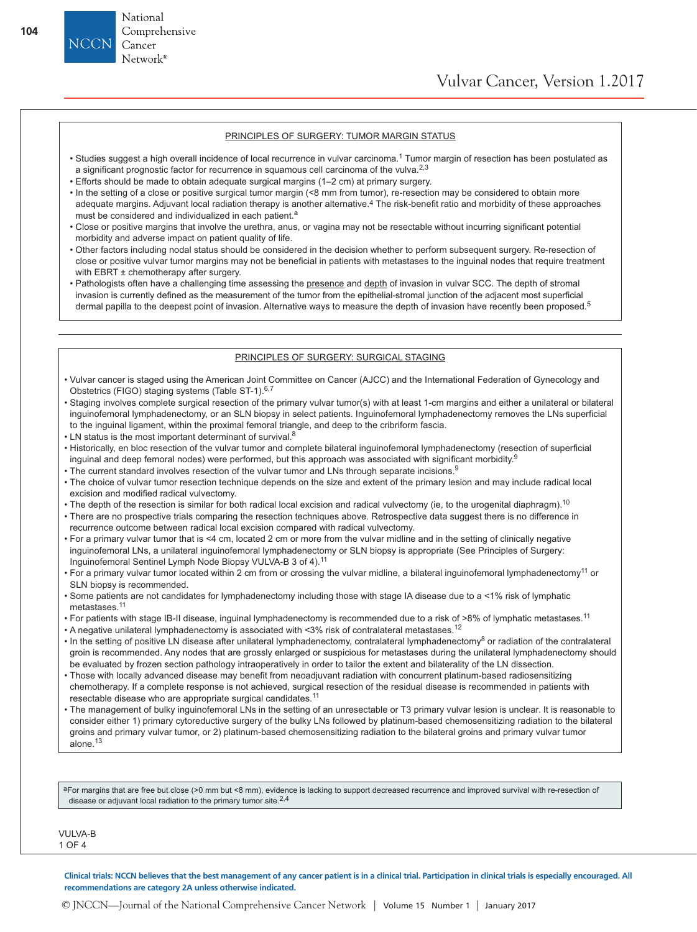#### PRINCIPLES OF SURGERY: TUMOR MARGIN STATUS

- Studies suggest a high overall incidence of local recurrence in vulvar carcinoma.<sup>1</sup> Tumor margin of resection has been postulated as a significant prognostic factor for recurrence in squamous cell carcinoma of the vulva.<sup>2,3</sup>
- Efforts should be made to obtain adequate surgical margins (1–2 cm) at primary surgery.
- In the setting of a close or positive surgical tumor margin (<8 mm from tumor), re-resection may be considered to obtain more adequate margins. Adjuvant local radiation therapy is another alternative.4 The risk-benefit ratio and morbidity of these approaches must be considered and individualized in each patient.<sup>a</sup>
- Close or positive margins that involve the urethra, anus, or vagina may not be resectable without incurring significant potential morbidity and adverse impact on patient quality of life.
- Other factors including nodal status should be considered in the decision whether to perform subsequent surgery. Re-resection of close or positive vulvar tumor margins may not be beneficial in patients with metastases to the inguinal nodes that require treatment with EBRT ± chemotherapy after surgery.
- Pathologists often have a challenging time assessing the presence and depth of invasion in vulvar SCC. The depth of stromal invasion is currently defined as the measurement of the tumor from the epithelial-stromal junction of the adjacent most superficial dermal papilla to the deepest point of invasion. Alternative ways to measure the depth of invasion have recently been proposed.<sup>5</sup>

#### PRINCIPLES OF SURGERY: SURGICAL STAGING

- Vulvar cancer is staged using the American Joint Committee on Cancer (AJCC) and the International Federation of Gynecology and Obstetrics (FIGO) staging systems (Table ST-1).<sup>6,7</sup>
- Staging involves complete surgical resection of the primary vulvar tumor(s) with at least 1-cm margins and either a unilateral or bilateral inguinofemoral lymphadenectomy, or an SLN biopsy in select patients. Inguinofemoral lymphadenectomy removes the LNs superficial to the inguinal ligament, within the proximal femoral triangle, and deep to the cribriform fascia.
- LN status is the most important determinant of survival.<sup>8</sup>
- Historically, en bloc resection of the vulvar tumor and complete bilateral inguinofemoral lymphadenectomy (resection of superficial inguinal and deep femoral nodes) were performed, but this approach was associated with significant morbidity.<sup>9</sup>
- The current standard involves resection of the vulvar tumor and LNs through separate incisions.<sup>9</sup>
- The choice of vulvar tumor resection technique depends on the size and extent of the primary lesion and may include radical local excision and modified radical vulvectomy.
- The depth of the resection is similar for both radical local excision and radical vulvectomy (ie, to the urogenital diaphragm).<sup>10</sup>
- There are no prospective trials comparing the resection techniques above. Retrospective data suggest there is no difference in recurrence outcome between radical local excision compared with radical vulvectomy.
- For a primary vulvar tumor that is <4 cm, located 2 cm or more from the vulvar midline and in the setting of clinically negative inguinofemoral LNs, a unilateral inguinofemoral lymphadenectomy or SLN biopsy is appropriate (See Principles of Surgery: Inguinofemoral Sentinel Lymph Node Biopsy VULVA-B 3 of 4).<sup>11</sup>
- For a primary vulvar tumor located within 2 cm from or crossing the vulvar midline, a bilateral inguinofemoral lymphadenectomy<sup>11</sup> or SLN biopsy is recommended.
- Some patients are not candidates for lymphadenectomy including those with stage IA disease due to a <1% risk of lymphatic metastases.11
- For patients with stage IB-II disease, inguinal lymphadenectomy is recommended due to a risk of >8% of lymphatic metastases.<sup>11</sup>
- A negative unilateral lymphadenectomy is associated with <3% risk of contralateral metastases.<sup>12</sup>
- In the setting of positive LN disease after unilateral lymphadenectomy, contralateral lymphadenectomy<sup>8</sup> or radiation of the contralateral groin is recommended. Any nodes that are grossly enlarged or suspicious for metastases during the unilateral lymphadenectomy should be evaluated by frozen section pathology intraoperatively in order to tailor the extent and bilaterality of the LN dissection.
- Those with locally advanced disease may benefit from neoadjuvant radiation with concurrent platinum-based radiosensitizing chemotherapy. If a complete response is not achieved, surgical resection of the residual disease is recommended in patients with resectable disease who are appropriate surgical candidates.<sup>11</sup>
- The management of bulky inguinofemoral LNs in the setting of an unresectable or T3 primary vulvar lesion is unclear. It is reasonable to consider either 1) primary cytoreductive surgery of the bulky LNs followed by platinum-based chemosensitizing radiation to the bilateral groins and primary vulvar tumor, or 2) platinum-based chemosensitizing radiation to the bilateral groins and primary vulvar tumor alone.<sup>13</sup>

aFor margins that are free but close (>0 mm but <8 mm), evidence is lacking to support decreased recurrence and improved survival with re-resection of disease or adjuvant local radiation to the primary tumor site.2,4

VIII VA-R 1 OF 4

**Clinical trials: NCCN believes that the best management of any cancer patient is in a clinical trial. Participation in clinical trials is especially encouraged. All**  VULVA-B **recommendations are category 2A unless otherwise indicated. 2** OF HILL

National Comprehensive

Cancer Network<sup>®</sup>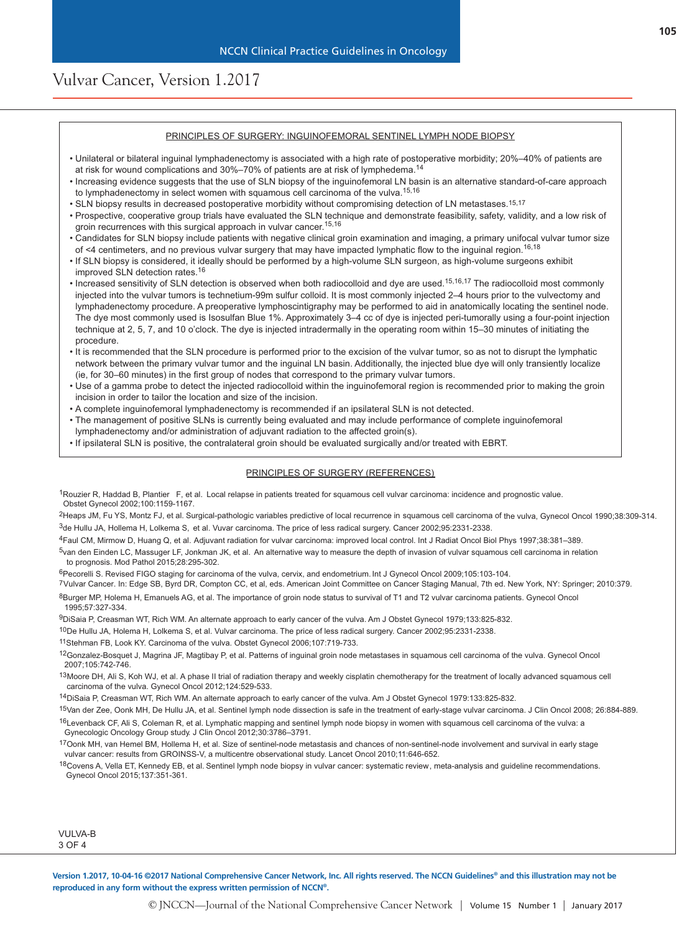#### PRINCIPLES OF SURGERY: INGUINOFEMORAL SENTINEL LYMPH NODE BIOPSY

- Unilateral or bilateral inguinal lymphadenectomy is associated with a high rate of postoperative morbidity; 20%–40% of patients are at risk for wound complications and 30%–70% of patients are at risk of lymphedema.<sup>14</sup>
- Increasing evidence suggests that the use of SLN biopsy of the inguinofemoral LN basin is an alternative standard-of-care approach to lymphadenectomy in select women with squamous cell carcinoma of the vulva.<sup>15,16</sup>
- SLN biopsy results in decreased postoperative morbidity without compromising detection of LN metastases.15,17
- Prospective, cooperative group trials have evaluated the SLN technique and demonstrate feasibility, safety, validity, and a low risk of groin recurrences with this surgical approach in vulvar cancer.<sup>15,16</sup>
- Candidates for SLN biopsy include patients with negative clinical groin examination and imaging, a primary unifocal vulvar tumor size of <4 centimeters, and no previous vulvar surgery that may have impacted lymphatic flow to the inguinal region.<sup>16,18</sup>
- If SLN biopsy is considered, it ideally should be performed by a high-volume SLN surgeon, as high-volume surgeons exhibit improved SLN detection rates.<sup>16</sup>
- Increased sensitivity of SLN detection is observed when both radiocolloid and dye are used.<sup>15,16,17</sup> The radiocolloid most commonly injected into the vulvar tumors is technetium-99m sulfur colloid. It is most commonly injected 2–4 hours prior to the vulvectomy and lymphadenectomy procedure. A preoperative lymphoscintigraphy may be performed to aid in anatomically locating the sentinel node. The dye most commonly used is Isosulfan Blue 1%. Approximately 3–4 cc of dye is injected peri-tumorally using a four-point injection technique at 2, 5, 7, and 10 o'clock. The dye is injected intradermally in the operating room within 15–30 minutes of initiating the procedure.
- It is recommended that the SLN procedure is performed prior to the excision of the vulvar tumor, so as not to disrupt the lymphatic network between the primary vulvar tumor and the inguinal LN basin. Additionally, the injected blue dye will only transiently localize (ie, for 30–60 minutes) in the first group of nodes that correspond to the primary vulvar tumors.
- Use of a gamma probe to detect the injected radiocolloid within the inguinofemoral region is recommended prior to making the groin incision in order to tailor the location and size of the incision.
- A complete inguinofemoral lymphadenectomy is recommended if an ipsilateral SLN is not detected.
- The management of positive SLNs is currently being evaluated and may include performance of complete inguinofemoral lymphadenectomy and/or administration of adjuvant radiation to the affected groin(s).
- If ipsilateral SLN is positive, the contralateral groin should be evaluated surgically and/or treated with EBRT.

#### PRINCIPLES OF SURGERY (REFERENCES)

1Rouzier R, Haddad B, Plantier F, et al. Local relapse in patients treated for squamous cell vulvar carcinoma: incidence and prognostic value. Obstet Gynecol 2002;100:1159-1167.

2Heaps JM, Fu YS, Montz FJ, et al. Surgical-pathologic variables predictive of local recurrence in squamous cell carcinoma of the vulva, Gynecol Oncol 1990;38:309-314.  $3$ de Hullu JA, Hollema H, Lolkema S, et al. Vuvar carcinoma. The price of less radical surgery. Cancer 2002;95:2331-2338.

- 4Faul CM, Mirmow D, Huang Q, et al. Adjuvant radiation for vulvar carcinoma: improved local control. Int J Radiat Oncol Biol Phys 1997;38:381–389.
- <sup>5</sup>van den Einden LC, Massuger LF, Jonkman JK, et al. An alternative way to measure the depth of invasion of vulvar squamous cell carcinoma in relation to prognosis. Mod Pathol 2015;28:295-302.

6Pecorelli S. Revised FIGO staging for carcinoma of the vulva, cervix, and endometrium. Int J Gynecol Oncol 2009;105:103-104.

7 Vulvar Cancer. In: Edge SB, Byrd DR, Compton CC, et al, eds. American Joint Committee on Cancer Staging Manual, 7th ed. New York, NY: Springer; 2010:379.

8Burger MP, Holema H, Emanuels AG, et al. The importance of groin node status to survival of T1 and T2 vulvar carcinoma patients. Gynecol Oncol 1995;57:327-334.

9DiSaia P, Creasman WT, Rich WM. An alternate approach to early cancer of the vulva. Am J Obstet Gynecol 1979;133:825-832.

- 10De Hullu JA, Holema H, Lolkema S, et al. Vulvar carcinoma. The price of less radical surgery. Cancer 2002;95:2331-2338.
- 11Stehman FB, Look KY. Carcinoma of the vulva. Obstet Gynecol 2006;107:719-733.
- 12Gonzalez-Bosquet J, Magrina JF, Magtibay P, et al. Patterns of inguinal groin node metastases in squamous cell carcinoma of the vulva. Gynecol Oncol 2007;105:742-746.
- <sup>13</sup>Moore DH, Ali S, Koh WJ, et al. A phase II trial of radiation therapy and weekly cisplatin chemotherapy for the treatment of locally advanced squamous cell carcinoma of the vulva. Gynecol Oncol 2012;124:529-533.
- 14DiSaia P, Creasman WT, Rich WM. An alternate approach to early cancer of the vulva. Am J Obstet Gynecol 1979:133:825-832.
- 15Van der Zee, Oonk MH, De Hullu JA, et al. Sentinel lymph node dissection is safe in the treatment of early-stage vulvar carcinoma. J Clin Oncol 2008; 26:884-889.
- <sup>16</sup>Levenback CF, Ali S, Coleman R, et al. Lymphatic mapping and sentinel lymph node biopsy in women with squamous cell carcinoma of the vulva: a Gynecologic Oncology Group study. J Clin Oncol 2012;30:3786–3791.
- 17Oonk MH, van Hemel BM, Hollema H, et al. Size of sentinel-node metastasis and chances of non-sentinel-node involvement and survival in early stage vulvar cancer: results from GROINSS-V, a multicentre observational study. Lancet Oncol 2010;11:646-652.

<sup>18</sup>Covens A, Vella ET, Kennedy EB, et al. Sentinel lymph node biopsy in vulvar cancer: systematic review, meta-analysis and guideline recommendations. Gynecol Oncol 2015;137:351-361.

| VULVA-B |  |  |  |  |  |  |
|---------|--|--|--|--|--|--|
| 3 OE.   |  |  |  |  |  |  |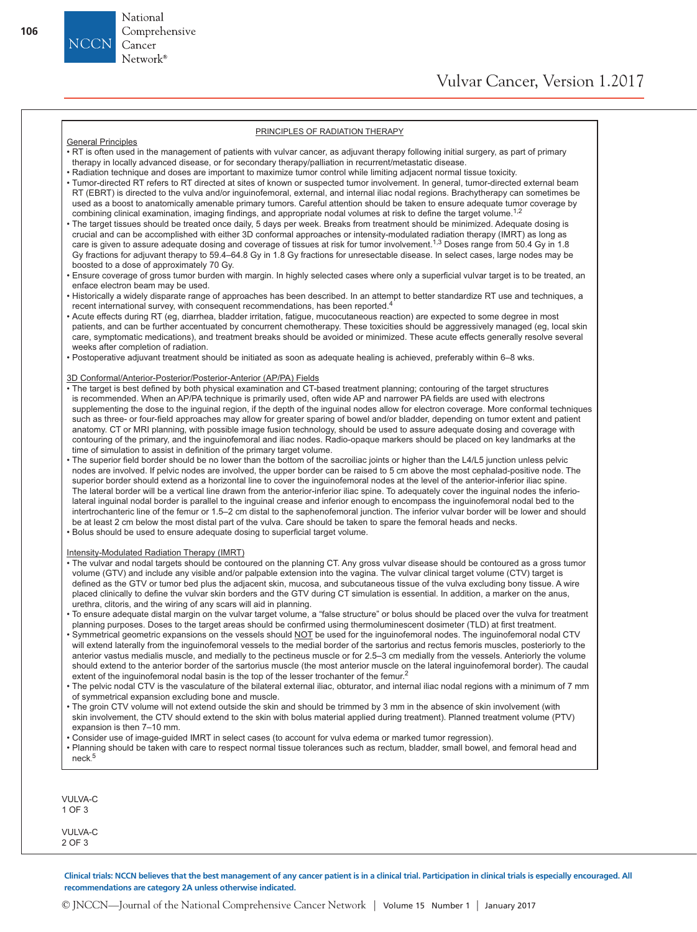#### PRINCIPLES OF RADIATION THERAPY

#### General Principles

National Comprehensive

Cancer Network<sup>®</sup>

- RT is often used in the management of patients with vulvar cancer, as adjuvant therapy following initial surgery, as part of primary therapy in locally advanced disease, or for secondary therapy/palliation in recurrent/metastatic disease.
- Radiation technique and doses are important to maximize tumor control while limiting adjacent normal tissue toxicity.
- Tumor-directed RT refers to RT directed at sites of known or suspected tumor involvement. In general, tumor-directed external beam RT (EBRT) is directed to the vulva and/or inguinofemoral, external, and internal iliac nodal regions. Brachytherapy can sometimes be used as a boost to anatomically amenable primary tumors. Careful attention should be taken to ensure adequate tumor coverage by combining clinical examination, imaging findings, and appropriate nodal volumes at risk to define the target volume.<sup>1,2</sup>
- The target tissues should be treated once daily, 5 days per week. Breaks from treatment should be minimized. Adequate dosing is crucial and can be accomplished with either 3D conformal approaches or intensity-modulated radiation therapy (IMRT) as long as care is given to assure adequate dosing and coverage of tissues at risk for tumor involvement.<sup>1,3</sup> Doses range from 50.4 Gy in 1.8 Gy fractions for adjuvant therapy to 59.4–64.8 Gy in 1.8 Gy fractions for unresectable disease. In select cases, large nodes may be boosted to a dose of approximately 70 Gy.
- Ensure coverage of gross tumor burden with margin. In highly selected cases where only a superficial vulvar target is to be treated, an enface electron beam may be used.
- Historically a widely disparate range of approaches has been described. In an attempt to better standardize RT use and techniques, a recent international survey, with consequent recommendations, has been reported.<sup>4</sup>
- Acute effects during RT (eg, diarrhea, bladder irritation, fatigue, mucocutaneous reaction) are expected to some degree in most patients, and can be further accentuated by concurrent chemotherapy. These toxicities should be aggressively managed (eg, local skin care, symptomatic medications), and treatment breaks should be avoided or minimized. These acute effects generally resolve several weeks after completion of radiation.
- Postoperative adjuvant treatment should be initiated as soon as adequate healing is achieved, preferably within 6–8 wks.

#### 3D Conformal/Anterior-Posterior/Posterior-Anterior (AP/PA) Fields

- The target is best defined by both physical examination and CT-based treatment planning; contouring of the target structures is recommended. When an AP/PA technique is primarily used, often wide AP and narrower PA fields are used with electrons supplementing the dose to the inguinal region, if the depth of the inguinal nodes allow for electron coverage. More conformal techniques such as three- or four-field approaches may allow for greater sparing of bowel and/or bladder, depending on tumor extent and patient anatomy. CT or MRI planning, with possible image fusion technology, should be used to assure adequate dosing and coverage with contouring of the primary, and the inguinofemoral and iliac nodes. Radio-opaque markers should be placed on key landmarks at the time of simulation to assist in definition of the primary target volume.
- The superior field border should be no lower than the bottom of the sacroiliac joints or higher than the L4/L5 junction unless pelvic nodes are involved. If pelvic nodes are involved, the upper border can be raised to 5 cm above the most cephalad-positive node. The superior border should extend as a horizontal line to cover the inguinofemoral nodes at the level of the anterior-inferior iliac spine. The lateral border will be a vertical line drawn from the anterior-inferior iliac spine. To adequately cover the inguinal nodes the inferiolateral inguinal nodal border is parallel to the inguinal crease and inferior enough to encompass the inguinofemoral nodal bed to the intertrochanteric line of the femur or 1.5–2 cm distal to the saphenofemoral junction. The inferior vulvar border will be lower and should be at least 2 cm below the most distal part of the vulva. Care should be taken to spare the femoral heads and necks.
- Bolus should be used to ensure adequate dosing to superficial target volume.

#### Intensity-Modulated Radiation Therapy (IMRT)

- The vulvar and nodal targets should be contoured on the planning CT. Any gross vulvar disease should be contoured as a gross tumor volume (GTV) and include any visible and/or palpable extension into the vagina. The vulvar clinical target volume (CTV) target is defined as the GTV or tumor bed plus the adjacent skin, mucosa, and subcutaneous tissue of the vulva excluding bony tissue. A wire placed clinically to define the vulvar skin borders and the GTV during CT simulation is essential. In addition, a marker on the anus, urethra, clitoris, and the wiring of any scars will aid in planning.
- To ensure adequate distal margin on the vulvar target volume, a "false structure" or bolus should be placed over the vulva for treatment planning purposes. Doses to the target areas should be confirmed using thermoluminescent dosimeter (TLD) at first treatment.
- Symmetrical geometric expansions on the vessels should NOT be used for the inguinofemoral nodes. The inguinofemoral nodal CTV will extend laterally from the inguinofemoral vessels to the medial border of the sartorius and rectus femoris muscles, posteriorly to the anterior vastus medialis muscle, and medially to the pectineus muscle or for 2.5–3 cm medially from the vessels. Anteriorly the volume should extend to the anterior border of the sartorius muscle (the most anterior muscle on the lateral inguinofemoral border). The caudal extent of the inguinofemoral nodal basin is the top of the lesser trochanter of the femur.<sup>2</sup>
- The pelvic nodal CTV is the vasculature of the bilateral external iliac, obturator, and internal iliac nodal regions with a minimum of 7 mm of symmetrical expansion excluding bone and muscle.
- The groin CTV volume will not extend outside the skin and should be trimmed by 3 mm in the absence of skin involvement (with skin involvement, the CTV should extend to the skin with bolus material applied during treatment). Planned treatment volume (PTV) expansion is then 7–10 mm.
- Consider use of image-guided IMRT in select cases (to account for vulva edema or marked tumor regression).
- Planning should be taken with care to respect normal tissue tolerances such as rectum, bladder, small bowel, and femoral head and neck. 5

VULVA-C 1 OF 3

VULVA-C 2 OF 3

**Clinical trials: NCCN believes that the best management of any cancer patient is in a clinical trial. Participation in clinical trials is especially encouraged. All recommendations are category 2A unless otherwise indicated.**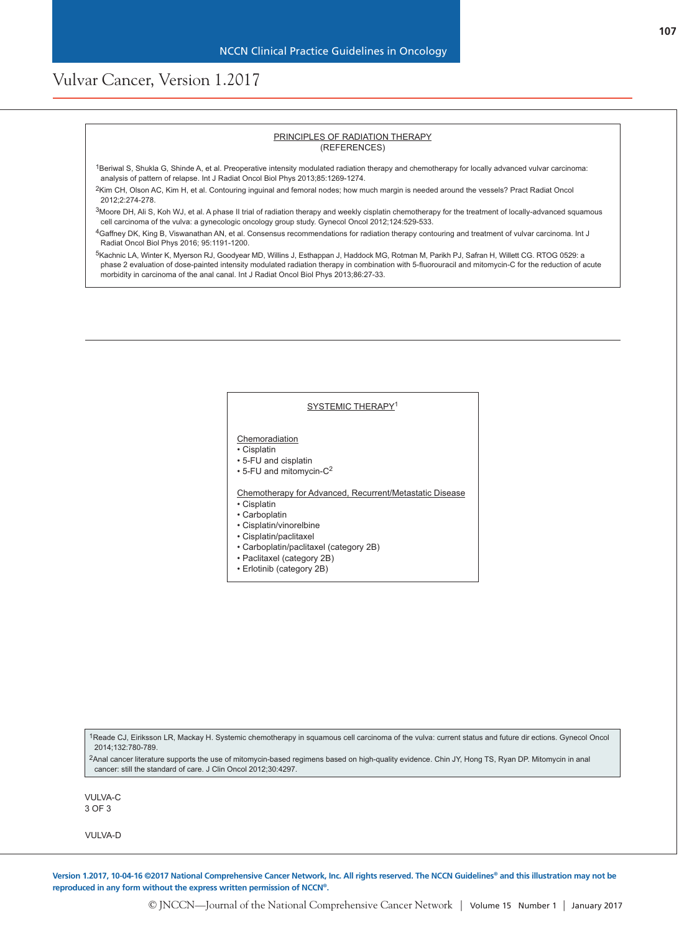#### PRINCIPLES OF RADIATION THERAPY (REFERENCES)

- 1Beriwal S, Shukla G, Shinde A, et al. Preoperative intensity modulated radiation therapy and chemotherapy for locally advanced vulvar carcinoma: analysis of pattern of relapse. Int J Radiat Oncol Biol Phys 2013;85:1269-1274.
- 2Kim CH, Olson AC, Kim H, et al. Contouring inguinal and femoral nodes; how much margin is needed around the vessels? Pract Radiat Oncol 2012;2:274-278.
- <sup>3</sup>Moore DH, Ali S, Koh WJ, et al. A phase II trial of radiation therapy and weekly cisplatin chemotherapy for the treatment of locally-advanced squamous cell carcinoma of the vulva: a gynecologic oncology group study. Gynecol Oncol 2012;124:529-533.
- 4Gaffney DK, King B, Viswanathan AN, et al. Consensus recommendations for radiation therapy contouring and treatment of vulvar carcinoma. Int J Radiat Oncol Biol Phys 2016; 95:1191-1200.
- 5Kachnic LA, Winter K, Myerson RJ, Goodyear MD, Willins J, Esthappan J, Haddock MG, Rotman M, Parikh PJ, Safran H, Willett CG. RTOG 0529: a phase 2 evaluation of dose-painted intensity modulated radiation therapy in combination with 5-fluorouracil and mitomycin-C for the reduction of acute morbidity in carcinoma of the anal canal. Int J Radiat Oncol Biol Phys 2013;86:27-33.

#### SYSTEMIC THERAPY<sup>1</sup>

**Chemoradiation** 

• Cisplatin

• 5-FU and cisplatin

 $\cdot$  5-FU and mitomycin-C<sup>2</sup>

Chemotherapy for Advanced, Recurrent/Metastatic Disease

• Cisplatin

- Carboplatin
- Cisplatin/vinorelbine
- Cisplatin/paclitaxel
- Carboplatin/paclitaxel (category 2B)
- Paclitaxel (category 2B)
- Erlotinib (category 2B)

1Reade CJ, Eiriksson LR, Mackay H. Systemic chemotherapy in squamous cell carcinoma of the vulva: current status and future dir ections. Gynecol Oncol 2014;132:780-789.

2Anal cancer literature supports the use of mitomycin-based regimens based on high-quality evidence. Chin JY, Hong TS, Ryan DP. Mitomycin in anal cancer: still the standard of care. J Clin Oncol 2012;30:4297.

VULVA-C 3 OF 3

VULVA-D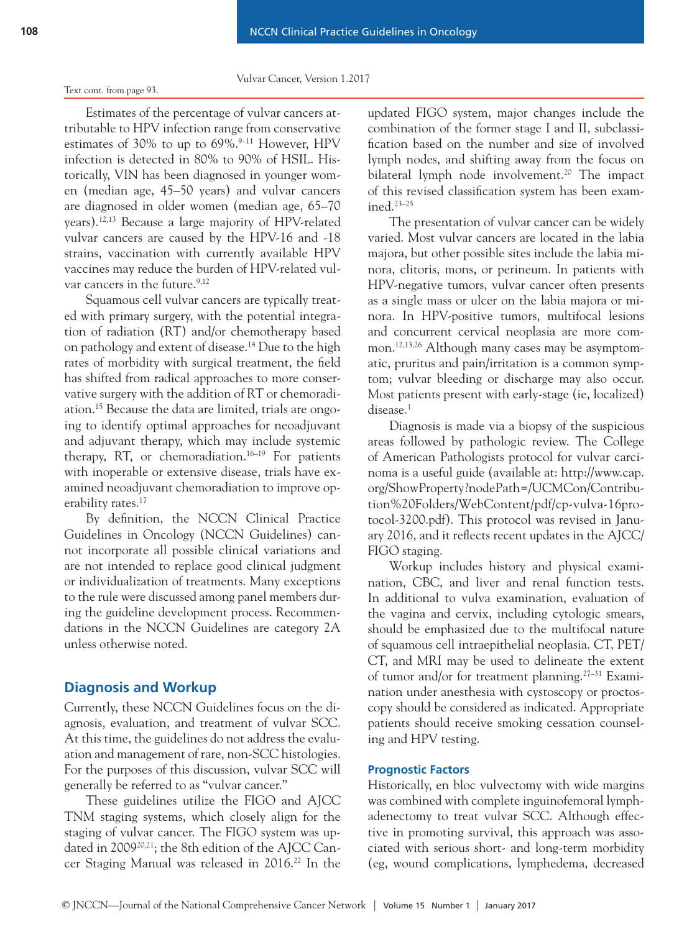#### Text cont. from page 93.

Estimates of the percentage of vulvar cancers attributable to HPV infection range from conservative estimates of 30% to up to  $69\%$ .<sup>9–11</sup> However, HPV infection is detected in 80% to 90% of HSIL. Historically, VIN has been diagnosed in younger women (median age, 45–50 years) and vulvar cancers are diagnosed in older women (median age, 65–70 years).12,13 Because a large majority of HPV-related vulvar cancers are caused by the HPV-16 and -18 strains, vaccination with currently available HPV vaccines may reduce the burden of HPV-related vulvar cancers in the future.<sup>9,12</sup>

Squamous cell vulvar cancers are typically treated with primary surgery, with the potential integration of radiation (RT) and/or chemotherapy based on pathology and extent of disease.14 Due to the high rates of morbidity with surgical treatment, the field has shifted from radical approaches to more conservative surgery with the addition of RT or chemoradiation.15 Because the data are limited, trials are ongoing to identify optimal approaches for neoadjuvant and adjuvant therapy, which may include systemic therapy, RT, or chemoradiation.<sup>16–19</sup> For patients with inoperable or extensive disease, trials have examined neoadjuvant chemoradiation to improve operability rates.<sup>17</sup>

By definition, the NCCN Clinical Practice Guidelines in Oncology (NCCN Guidelines) cannot incorporate all possible clinical variations and are not intended to replace good clinical judgment or individualization of treatments. Many exceptions to the rule were discussed among panel members during the guideline development process. Recommendations in the NCCN Guidelines are category 2A unless otherwise noted.

# **Diagnosis and Workup**

Currently, these NCCN Guidelines focus on the diagnosis, evaluation, and treatment of vulvar SCC. At this time, the guidelines do not address the evaluation and management of rare, non-SCC histologies. For the purposes of this discussion, vulvar SCC will generally be referred to as "vulvar cancer."

These guidelines utilize the FIGO and AJCC TNM staging systems, which closely align for the staging of vulvar cancer. The FIGO system was updated in 2009<sup>20,21</sup>; the 8th edition of the AJCC Cancer Staging Manual was released in 2016.<sup>22</sup> In the updated FIGO system, major changes include the combination of the former stage I and II, subclassification based on the number and size of involved lymph nodes, and shifting away from the focus on bilateral lymph node involvement.<sup>20</sup> The impact of this revised classification system has been examined.23–25

The presentation of vulvar cancer can be widely varied. Most vulvar cancers are located in the labia majora, but other possible sites include the labia minora, clitoris, mons, or perineum. In patients with HPV-negative tumors, vulvar cancer often presents as a single mass or ulcer on the labia majora or minora. In HPV-positive tumors, multifocal lesions and concurrent cervical neoplasia are more common.<sup>12,13,26</sup> Although many cases may be asymptomatic, pruritus and pain/irritation is a common symptom; vulvar bleeding or discharge may also occur. Most patients present with early-stage (ie, localized) disease.<sup>1</sup>

Diagnosis is made via a biopsy of the suspicious areas followed by pathologic review. The College of American Pathologists protocol for vulvar carcinoma is a useful guide (available at: http://www.cap. org/ShowProperty?nodePath=/UCMCon/Contribution%20Folders/WebContent/pdf/cp-vulva-16protocol-3200.pdf). This protocol was revised in January 2016, and it reflects recent updates in the AJCC/ FIGO staging.

Workup includes history and physical examination, CBC, and liver and renal function tests. In additional to vulva examination, evaluation of the vagina and cervix, including cytologic smears, should be emphasized due to the multifocal nature of squamous cell intraepithelial neoplasia. CT, PET/ CT, and MRI may be used to delineate the extent of tumor and/or for treatment planning.<sup>27–31</sup> Examination under anesthesia with cystoscopy or proctoscopy should be considered as indicated. Appropriate patients should receive smoking cessation counseling and HPV testing.

# **Prognostic Factors**

Historically, en bloc vulvectomy with wide margins was combined with complete inguinofemoral lymphadenectomy to treat vulvar SCC. Although effective in promoting survival, this approach was associated with serious short- and long-term morbidity (eg, wound complications, lymphedema, decreased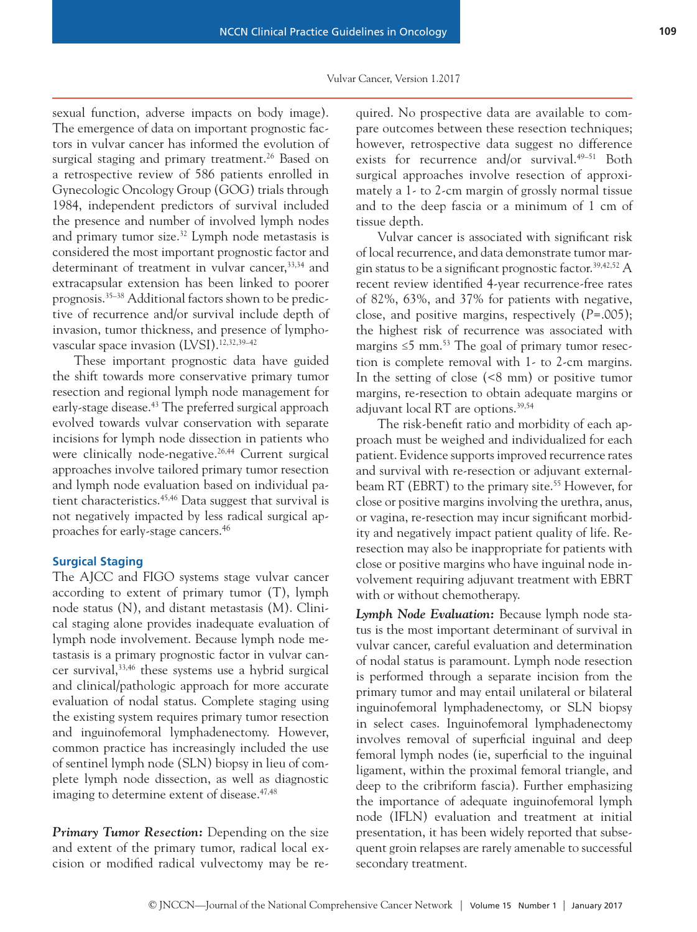sexual function, adverse impacts on body image). The emergence of data on important prognostic factors in vulvar cancer has informed the evolution of surgical staging and primary treatment.<sup>26</sup> Based on a retrospective review of 586 patients enrolled in Gynecologic Oncology Group (GOG) trials through 1984, independent predictors of survival included the presence and number of involved lymph nodes and primary tumor size.<sup>32</sup> Lymph node metastasis is considered the most important prognostic factor and determinant of treatment in vulvar cancer,  $33,34$  and extracapsular extension has been linked to poorer prognosis.35–38 Additional factors shown to be predictive of recurrence and/or survival include depth of invasion, tumor thickness, and presence of lymphovascular space invasion (LVSI).12,32,39–42

These important prognostic data have guided the shift towards more conservative primary tumor resection and regional lymph node management for early-stage disease.<sup>43</sup> The preferred surgical approach evolved towards vulvar conservation with separate incisions for lymph node dissection in patients who were clinically node-negative.<sup>26,44</sup> Current surgical approaches involve tailored primary tumor resection and lymph node evaluation based on individual patient characteristics.<sup>45,46</sup> Data suggest that survival is not negatively impacted by less radical surgical approaches for early-stage cancers.46

### **Surgical Staging**

The AJCC and FIGO systems stage vulvar cancer according to extent of primary tumor (T), lymph node status (N), and distant metastasis (M). Clinical staging alone provides inadequate evaluation of lymph node involvement. Because lymph node metastasis is a primary prognostic factor in vulvar cancer survival,33,46 these systems use a hybrid surgical and clinical/pathologic approach for more accurate evaluation of nodal status. Complete staging using the existing system requires primary tumor resection and inguinofemoral lymphadenectomy. However, common practice has increasingly included the use of sentinel lymph node (SLN) biopsy in lieu of complete lymph node dissection, as well as diagnostic imaging to determine extent of disease.<sup>47,48</sup>

**Primary Tumor Resection:** Depending on the size and extent of the primary tumor, radical local excision or modified radical vulvectomy may be required. No prospective data are available to compare outcomes between these resection techniques; however, retrospective data suggest no difference exists for recurrence and/or survival.<sup>49-51</sup> Both surgical approaches involve resection of approximately a 1- to 2-cm margin of grossly normal tissue and to the deep fascia or a minimum of 1 cm of tissue depth.

Vulvar cancer is associated with significant risk of local recurrence, and data demonstrate tumor margin status to be a significant prognostic factor.<sup>39,42,52</sup> A recent review identified 4-year recurrence-free rates of 82%, 63%, and 37% for patients with negative, close, and positive margins, respectively (*P*=.005); the highest risk of recurrence was associated with margins  $\leq 5$  mm.<sup>53</sup> The goal of primary tumor resection is complete removal with 1- to 2-cm margins. In the setting of close (<8 mm) or positive tumor margins, re-resection to obtain adequate margins or adjuvant local RT are options.39,54

The risk-benefit ratio and morbidity of each approach must be weighed and individualized for each patient. Evidence supports improved recurrence rates and survival with re-resection or adjuvant externalbeam RT (EBRT) to the primary site.<sup>55</sup> However, for close or positive margins involving the urethra, anus, or vagina, re-resection may incur significant morbidity and negatively impact patient quality of life. Reresection may also be inappropriate for patients with close or positive margins who have inguinal node involvement requiring adjuvant treatment with EBRT with or without chemotherapy.

*Lymph Node Evaluation:* Because lymph node status is the most important determinant of survival in vulvar cancer, careful evaluation and determination of nodal status is paramount. Lymph node resection is performed through a separate incision from the primary tumor and may entail unilateral or bilateral inguinofemoral lymphadenectomy, or SLN biopsy in select cases. Inguinofemoral lymphadenectomy involves removal of superficial inguinal and deep femoral lymph nodes (ie, superficial to the inguinal ligament, within the proximal femoral triangle, and deep to the cribriform fascia). Further emphasizing the importance of adequate inguinofemoral lymph node (IFLN) evaluation and treatment at initial presentation, it has been widely reported that subsequent groin relapses are rarely amenable to successful secondary treatment.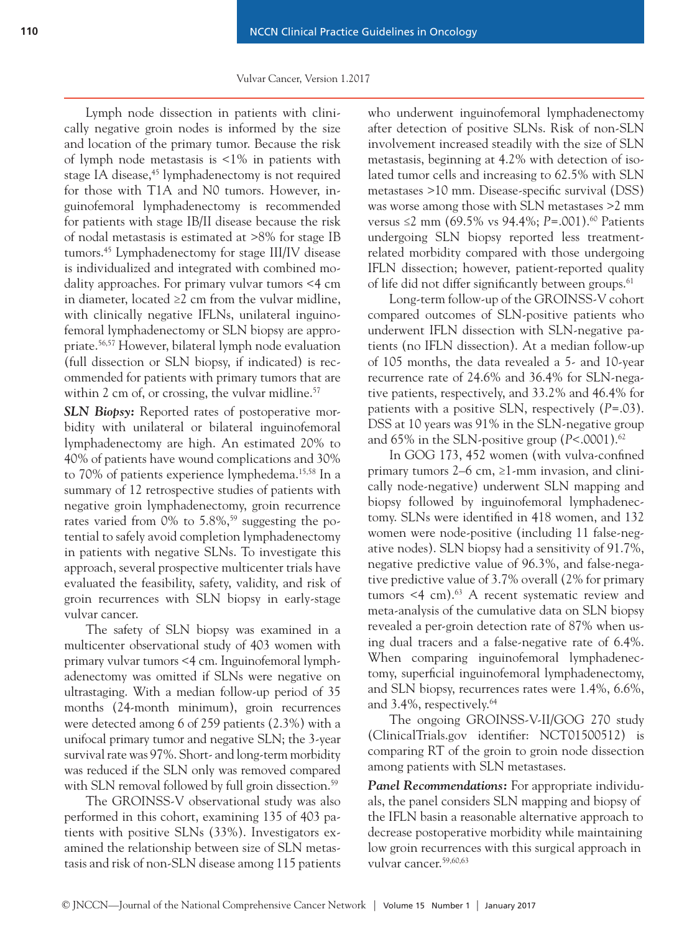Lymph node dissection in patients with clinically negative groin nodes is informed by the size and location of the primary tumor. Because the risk of lymph node metastasis is <1% in patients with stage IA disease,<sup>45</sup> lymphadenectomy is not required for those with T1A and N0 tumors. However, inguinofemoral lymphadenectomy is recommended for patients with stage IB/II disease because the risk of nodal metastasis is estimated at >8% for stage IB tumors.45 Lymphadenectomy for stage III/IV disease is individualized and integrated with combined modality approaches. For primary vulvar tumors <4 cm in diameter, located ≥2 cm from the vulvar midline, with clinically negative IFLNs, unilateral inguinofemoral lymphadenectomy or SLN biopsy are appropriate.56,57 However, bilateral lymph node evaluation (full dissection or SLN biopsy, if indicated) is recommended for patients with primary tumors that are within 2 cm of, or crossing, the vulvar midline. $57$ 

*SLN Biopsy:* Reported rates of postoperative morbidity with unilateral or bilateral inguinofemoral lymphadenectomy are high. An estimated 20% to 40% of patients have wound complications and 30% to 70% of patients experience lymphedema.<sup>15,58</sup> In a summary of 12 retrospective studies of patients with negative groin lymphadenectomy, groin recurrence rates varied from  $0\%$  to  $5.8\%,^{59}$  suggesting the potential to safely avoid completion lymphadenectomy in patients with negative SLNs. To investigate this approach, several prospective multicenter trials have evaluated the feasibility, safety, validity, and risk of groin recurrences with SLN biopsy in early-stage vulvar cancer.

The safety of SLN biopsy was examined in a multicenter observational study of 403 women with primary vulvar tumors <4 cm. Inguinofemoral lymphadenectomy was omitted if SLNs were negative on ultrastaging. With a median follow-up period of 35 months (24-month minimum), groin recurrences were detected among 6 of 259 patients (2.3%) with a unifocal primary tumor and negative SLN; the 3-year survival rate was 97%. Short- and long-term morbidity was reduced if the SLN only was removed compared with SLN removal followed by full groin dissection.<sup>59</sup>

The GROINSS-V observational study was also performed in this cohort, examining 135 of 403 patients with positive SLNs (33%). Investigators examined the relationship between size of SLN metastasis and risk of non-SLN disease among 115 patients who underwent inguinofemoral lymphadenectomy after detection of positive SLNs. Risk of non-SLN involvement increased steadily with the size of SLN metastasis, beginning at 4.2% with detection of isolated tumor cells and increasing to 62.5% with SLN metastases >10 mm. Disease-specific survival (DSS) was worse among those with SLN metastases >2 mm versus ≤2 mm (69.5% vs 94.4%; *P*=.001).60 Patients undergoing SLN biopsy reported less treatmentrelated morbidity compared with those undergoing IFLN dissection; however, patient-reported quality of life did not differ significantly between groups.<sup>61</sup>

Long-term follow-up of the GROINSS-V cohort compared outcomes of SLN-positive patients who underwent IFLN dissection with SLN-negative patients (no IFLN dissection). At a median follow-up of 105 months, the data revealed a 5- and 10-year recurrence rate of 24.6% and 36.4% for SLN-negative patients, respectively, and 33.2% and 46.4% for patients with a positive SLN, respectively (*P*=.03). DSS at 10 years was 91% in the SLN-negative group and 65% in the SLN-positive group (*P*<.0001).62

In GOG 173, 452 women (with vulva-confined primary tumors  $2-6$  cm,  $\geq 1$ -mm invasion, and clinically node-negative) underwent SLN mapping and biopsy followed by inguinofemoral lymphadenectomy. SLNs were identified in 418 women, and 132 women were node-positive (including 11 false-negative nodes). SLN biopsy had a sensitivity of 91.7%, negative predictive value of 96.3%, and false-negative predictive value of 3.7% overall (2% for primary tumors  $\leq 4$  cm).<sup>63</sup> A recent systematic review and meta-analysis of the cumulative data on SLN biopsy revealed a per-groin detection rate of 87% when using dual tracers and a false-negative rate of 6.4%. When comparing inguinofemoral lymphadenectomy, superficial inguinofemoral lymphadenectomy, and SLN biopsy, recurrences rates were 1.4%, 6.6%, and 3.4%, respectively.64

The ongoing GROINSS-V-II/GOG 270 study (ClinicalTrials.gov identifier: NCT01500512) is comparing RT of the groin to groin node dissection among patients with SLN metastases.

**Panel Recommendations:** For appropriate individuals, the panel considers SLN mapping and biopsy of the IFLN basin a reasonable alternative approach to decrease postoperative morbidity while maintaining low groin recurrences with this surgical approach in vulvar cancer.59,60,63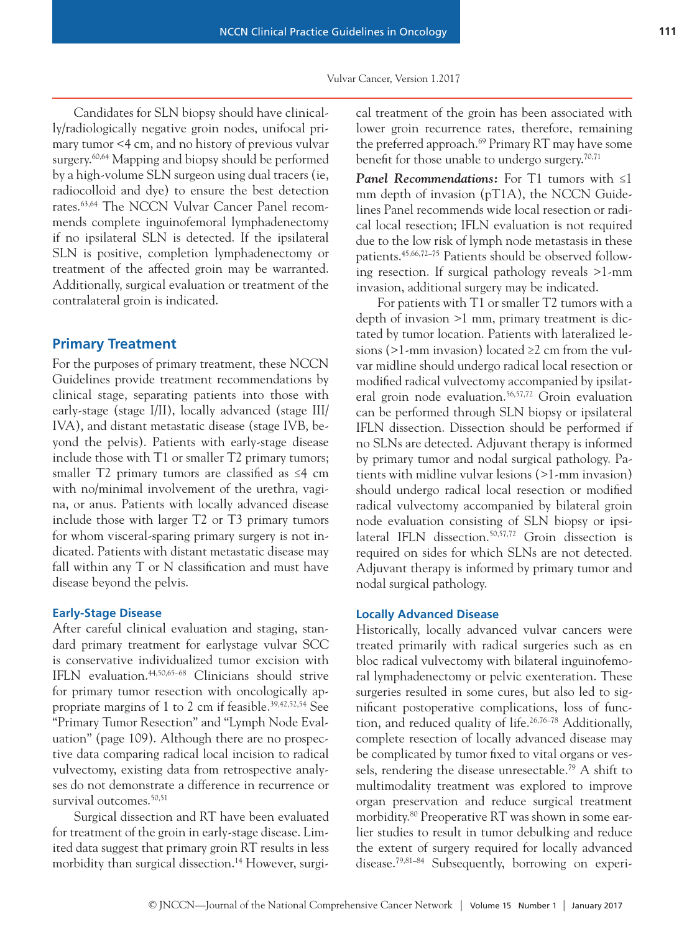Candidates for SLN biopsy should have clinically/radiologically negative groin nodes, unifocal primary tumor <4 cm, and no history of previous vulvar surgery.<sup>60,64</sup> Mapping and biopsy should be performed by a high-volume SLN surgeon using dual tracers (ie, radiocolloid and dye) to ensure the best detection rates.63,64 The NCCN Vulvar Cancer Panel recommends complete inguinofemoral lymphadenectomy if no ipsilateral SLN is detected. If the ipsilateral SLN is positive, completion lymphadenectomy or treatment of the affected groin may be warranted. Additionally, surgical evaluation or treatment of the contralateral groin is indicated.

# **Primary Treatment**

For the purposes of primary treatment, these NCCN Guidelines provide treatment recommendations by clinical stage, separating patients into those with early-stage (stage I/II), locally advanced (stage III/ IVA), and distant metastatic disease (stage IVB, beyond the pelvis). Patients with early-stage disease include those with T1 or smaller T2 primary tumors; smaller T2 primary tumors are classified as ≤4 cm with no/minimal involvement of the urethra, vagina, or anus. Patients with locally advanced disease include those with larger T2 or T3 primary tumors for whom visceral-sparing primary surgery is not indicated. Patients with distant metastatic disease may fall within any T or N classification and must have disease beyond the pelvis.

### **Early-Stage Disease**

After careful clinical evaluation and staging, standard primary treatment for earlystage vulvar SCC is conservative individualized tumor excision with IFLN evaluation.44,50,65–68 Clinicians should strive for primary tumor resection with oncologically appropriate margins of 1 to 2 cm if feasible.39,42,52,54 See "Primary Tumor Resection" and "Lymph Node Evaluation" (page 109). Although there are no prospective data comparing radical local incision to radical vulvectomy, existing data from retrospective analyses do not demonstrate a difference in recurrence or survival outcomes.<sup>50,51</sup>

Surgical dissection and RT have been evaluated for treatment of the groin in early-stage disease. Limited data suggest that primary groin RT results in less morbidity than surgical dissection.<sup>14</sup> However, surgical treatment of the groin has been associated with lower groin recurrence rates, therefore, remaining the preferred approach.<sup>69</sup> Primary RT may have some benefit for those unable to undergo surgery.<sup>70,71</sup>

*Panel Recommendations:* For T1 tumors with ≤1 mm depth of invasion (pT1A), the NCCN Guidelines Panel recommends wide local resection or radical local resection; IFLN evaluation is not required due to the low risk of lymph node metastasis in these patients.45,66,72–75 Patients should be observed following resection. If surgical pathology reveals >1-mm invasion, additional surgery may be indicated.

For patients with T1 or smaller T2 tumors with a depth of invasion >1 mm, primary treatment is dictated by tumor location. Patients with lateralized lesions (>1-mm invasion) located  $\geq 2$  cm from the vulvar midline should undergo radical local resection or modified radical vulvectomy accompanied by ipsilateral groin node evaluation.<sup>56,57,72</sup> Groin evaluation can be performed through SLN biopsy or ipsilateral IFLN dissection. Dissection should be performed if no SLNs are detected. Adjuvant therapy is informed by primary tumor and nodal surgical pathology. Patients with midline vulvar lesions (>1-mm invasion) should undergo radical local resection or modified radical vulvectomy accompanied by bilateral groin node evaluation consisting of SLN biopsy or ipsilateral IFLN dissection.<sup>50,57,72</sup> Groin dissection is required on sides for which SLNs are not detected. Adjuvant therapy is informed by primary tumor and nodal surgical pathology.

# **Locally Advanced Disease**

Historically, locally advanced vulvar cancers were treated primarily with radical surgeries such as en bloc radical vulvectomy with bilateral inguinofemoral lymphadenectomy or pelvic exenteration. These surgeries resulted in some cures, but also led to significant postoperative complications, loss of function, and reduced quality of life.<sup>26,76–78</sup> Additionally, complete resection of locally advanced disease may be complicated by tumor fixed to vital organs or vessels, rendering the disease unresectable.79 A shift to multimodality treatment was explored to improve organ preservation and reduce surgical treatment morbidity.<sup>80</sup> Preoperative RT was shown in some earlier studies to result in tumor debulking and reduce the extent of surgery required for locally advanced disease.<sup>79,81-84</sup> Subsequently, borrowing on experi-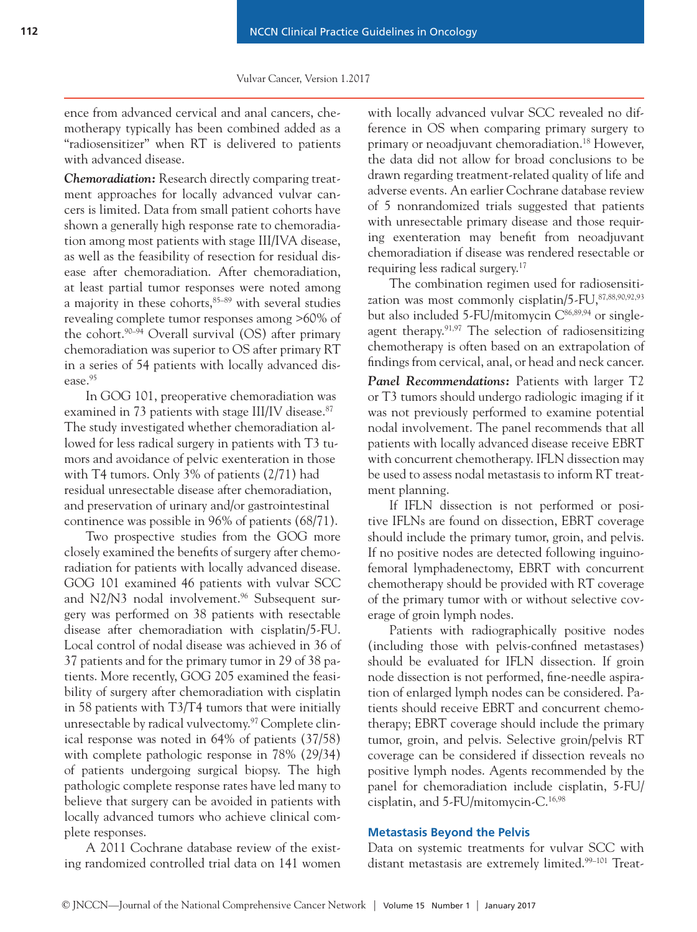ence from advanced cervical and anal cancers, chemotherapy typically has been combined added as a "radiosensitizer" when RT is delivered to patients with advanced disease.

*Chemoradiation:* Research directly comparing treatment approaches for locally advanced vulvar cancers is limited. Data from small patient cohorts have shown a generally high response rate to chemoradiation among most patients with stage III/IVA disease, as well as the feasibility of resection for residual disease after chemoradiation. After chemoradiation, at least partial tumor responses were noted among a majority in these cohorts,<sup>85-89</sup> with several studies revealing complete tumor responses among >60% of the cohort.90–94 Overall survival (OS) after primary chemoradiation was superior to OS after primary RT in a series of 54 patients with locally advanced disease.<sup>95</sup>

In GOG 101, preoperative chemoradiation was examined in 73 patients with stage III/IV disease.<sup>87</sup> The study investigated whether chemoradiation allowed for less radical surgery in patients with T3 tumors and avoidance of pelvic exenteration in those with T4 tumors. Only 3% of patients (2/71) had residual unresectable disease after chemoradiation, and preservation of urinary and/or gastrointestinal continence was possible in 96% of patients (68/71).

Two prospective studies from the GOG more closely examined the benefits of surgery after chemoradiation for patients with locally advanced disease. GOG 101 examined 46 patients with vulvar SCC and N2/N3 nodal involvement.<sup>96</sup> Subsequent surgery was performed on 38 patients with resectable disease after chemoradiation with cisplatin/5-FU. Local control of nodal disease was achieved in 36 of 37 patients and for the primary tumor in 29 of 38 patients. More recently, GOG 205 examined the feasibility of surgery after chemoradiation with cisplatin in 58 patients with T3/T4 tumors that were initially unresectable by radical vulvectomy.<sup>97</sup> Complete clinical response was noted in 64% of patients (37/58) with complete pathologic response in 78% (29/34) of patients undergoing surgical biopsy. The high pathologic complete response rates have led many to believe that surgery can be avoided in patients with locally advanced tumors who achieve clinical complete responses.

A 2011 Cochrane database review of the existing randomized controlled trial data on 141 women with locally advanced vulvar SCC revealed no difference in OS when comparing primary surgery to primary or neoadjuvant chemoradiation.18 However, the data did not allow for broad conclusions to be drawn regarding treatment-related quality of life and adverse events. An earlier Cochrane database review of 5 nonrandomized trials suggested that patients with unresectable primary disease and those requiring exenteration may benefit from neoadjuvant chemoradiation if disease was rendered resectable or requiring less radical surgery.17

The combination regimen used for radiosensitization was most commonly cisplatin/5-FU, 87,88,90,92,93 but also included  $5$ -FU/mitomycin  $C^{86,89,94}$  or singleagent therapy.<sup>91,97</sup> The selection of radiosensitizing chemotherapy is often based on an extrapolation of findings from cervical, anal, or head and neck cancer.

*Panel Recommendations:* Patients with larger T2 or T3 tumors should undergo radiologic imaging if it was not previously performed to examine potential nodal involvement. The panel recommends that all patients with locally advanced disease receive EBRT with concurrent chemotherapy. IFLN dissection may be used to assess nodal metastasis to inform RT treatment planning.

If IFLN dissection is not performed or positive IFLNs are found on dissection, EBRT coverage should include the primary tumor, groin, and pelvis. If no positive nodes are detected following inguinofemoral lymphadenectomy, EBRT with concurrent chemotherapy should be provided with RT coverage of the primary tumor with or without selective coverage of groin lymph nodes.

Patients with radiographically positive nodes (including those with pelvis-confined metastases) should be evaluated for IFLN dissection. If groin node dissection is not performed, fine-needle aspiration of enlarged lymph nodes can be considered. Patients should receive EBRT and concurrent chemotherapy; EBRT coverage should include the primary tumor, groin, and pelvis. Selective groin/pelvis RT coverage can be considered if dissection reveals no positive lymph nodes. Agents recommended by the panel for chemoradiation include cisplatin, 5-FU/ cisplatin, and 5-FU/mitomycin-C.16,98

### **Metastasis Beyond the Pelvis**

Data on systemic treatments for vulvar SCC with distant metastasis are extremely limited.<sup>99-101</sup> Treat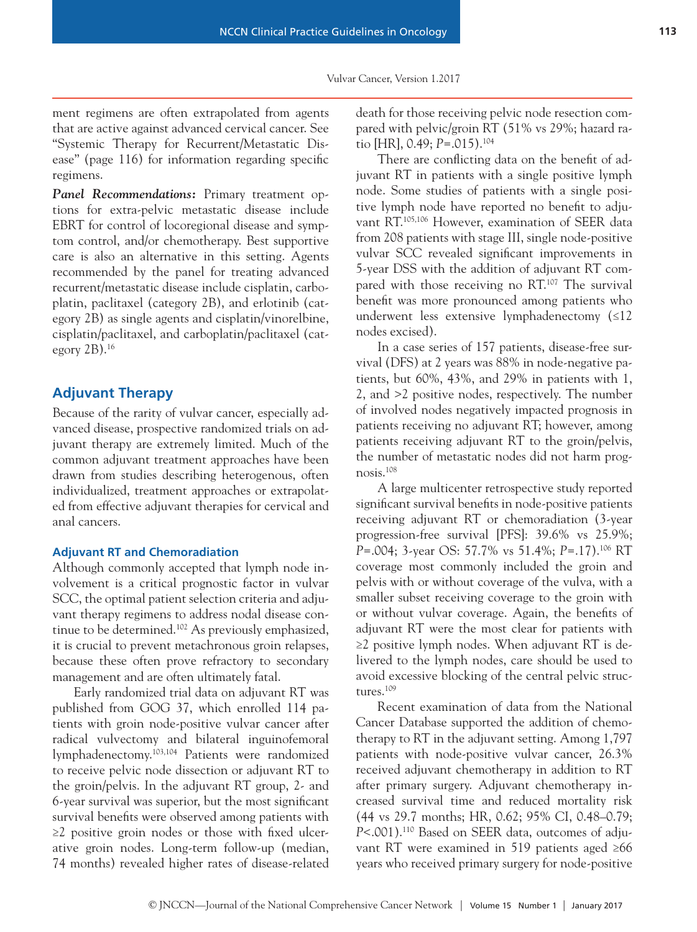ment regimens are often extrapolated from agents that are active against advanced cervical cancer. See "Systemic Therapy for Recurrent/Metastatic Disease" (page 116) for information regarding specific regimens.

*Panel Recommendations:* Primary treatment options for extra-pelvic metastatic disease include EBRT for control of locoregional disease and symptom control, and/or chemotherapy. Best supportive care is also an alternative in this setting. Agents recommended by the panel for treating advanced recurrent/metastatic disease include cisplatin, carboplatin, paclitaxel (category 2B), and erlotinib (category 2B) as single agents and cisplatin/vinorelbine, cisplatin/paclitaxel, and carboplatin/paclitaxel (category 2B).16

# **Adjuvant Therapy**

Because of the rarity of vulvar cancer, especially advanced disease, prospective randomized trials on adjuvant therapy are extremely limited. Much of the common adjuvant treatment approaches have been drawn from studies describing heterogenous, often individualized, treatment approaches or extrapolated from effective adjuvant therapies for cervical and anal cancers.

### **Adjuvant RT and Chemoradiation**

Although commonly accepted that lymph node involvement is a critical prognostic factor in vulvar SCC, the optimal patient selection criteria and adjuvant therapy regimens to address nodal disease continue to be determined.<sup>102</sup> As previously emphasized, it is crucial to prevent metachronous groin relapses, because these often prove refractory to secondary management and are often ultimately fatal.

Early randomized trial data on adjuvant RT was published from GOG 37, which enrolled 114 patients with groin node-positive vulvar cancer after radical vulvectomy and bilateral inguinofemoral lymphadenectomy.103,104 Patients were randomized to receive pelvic node dissection or adjuvant RT to the groin/pelvis. In the adjuvant RT group, 2- and 6-year survival was superior, but the most significant survival benefits were observed among patients with ≥2 positive groin nodes or those with fixed ulcerative groin nodes. Long-term follow-up (median, 74 months) revealed higher rates of disease-related death for those receiving pelvic node resection compared with pelvic/groin RT (51% vs 29%; hazard ratio [HR], 0.49; *P*=.015).104

There are conflicting data on the benefit of adjuvant RT in patients with a single positive lymph node. Some studies of patients with a single positive lymph node have reported no benefit to adjuvant RT.105,106 However, examination of SEER data from 208 patients with stage III, single node-positive vulvar SCC revealed significant improvements in 5-year DSS with the addition of adjuvant RT compared with those receiving no RT.107 The survival benefit was more pronounced among patients who underwent less extensive lymphadenectomy (≤12 nodes excised).

In a case series of 157 patients, disease-free survival (DFS) at 2 years was 88% in node-negative patients, but 60%, 43%, and 29% in patients with 1, 2, and >2 positive nodes, respectively. The number of involved nodes negatively impacted prognosis in patients receiving no adjuvant RT; however, among patients receiving adjuvant RT to the groin/pelvis, the number of metastatic nodes did not harm prognosis.108

A large multicenter retrospective study reported significant survival benefits in node-positive patients receiving adjuvant RT or chemoradiation (3-year progression-free survival [PFS]: 39.6% vs 25.9%; *P*=.004; 3-year OS: 57.7% vs 51.4%; *P*=.17).106 RT coverage most commonly included the groin and pelvis with or without coverage of the vulva, with a smaller subset receiving coverage to the groin with or without vulvar coverage. Again, the benefits of adjuvant RT were the most clear for patients with ≥2 positive lymph nodes. When adjuvant RT is delivered to the lymph nodes, care should be used to avoid excessive blocking of the central pelvic structures.109

Recent examination of data from the National Cancer Database supported the addition of chemotherapy to RT in the adjuvant setting. Among 1,797 patients with node-positive vulvar cancer, 26.3% received adjuvant chemotherapy in addition to RT after primary surgery. Adjuvant chemotherapy increased survival time and reduced mortality risk (44 vs 29.7 months; HR, 0.62; 95% CI, 0.48–0.79; *P*<.001).110 Based on SEER data, outcomes of adjuvant RT were examined in 519 patients aged ≥66 years who received primary surgery for node-positive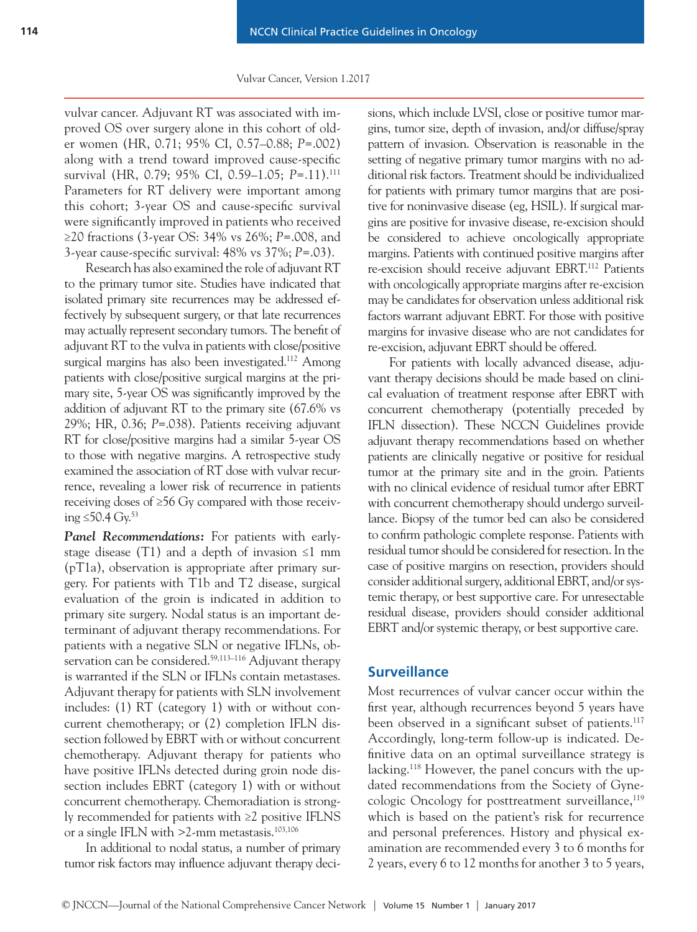vulvar cancer. Adjuvant RT was associated with improved OS over surgery alone in this cohort of older women (HR, 0.71; 95% CI, 0.57–0.88; *P*=.002) along with a trend toward improved cause-specific survival (HR, 0.79; 95% CI, 0.59–1.05; *P*=.11).111 Parameters for RT delivery were important among this cohort; 3-year OS and cause-specific survival were significantly improved in patients who received ≥20 fractions (3-year OS: 34% vs 26%; *P*=.008, and 3-year cause-specific survival: 48% vs 37%; *P*=.03).

Research has also examined the role of adjuvant RT to the primary tumor site. Studies have indicated that isolated primary site recurrences may be addressed effectively by subsequent surgery, or that late recurrences may actually represent secondary tumors. The benefit of adjuvant RT to the vulva in patients with close/positive surgical margins has also been investigated.<sup>112</sup> Among patients with close/positive surgical margins at the primary site, 5-year OS was significantly improved by the addition of adjuvant RT to the primary site (67.6% vs 29%; HR, 0.36; *P*=.038). Patients receiving adjuvant RT for close/positive margins had a similar 5-year OS to those with negative margins. A retrospective study examined the association of RT dose with vulvar recurrence, revealing a lower risk of recurrence in patients receiving doses of ≥56 Gy compared with those receiving ≤50.4  $Gv<sup>53</sup>$ 

*Panel Recommendations:* For patients with earlystage disease (T1) and a depth of invasion  $\leq 1$  mm  $(pT1a)$ , observation is appropriate after primary surgery. For patients with T1b and T2 disease, surgical evaluation of the groin is indicated in addition to primary site surgery. Nodal status is an important determinant of adjuvant therapy recommendations. For patients with a negative SLN or negative IFLNs, observation can be considered.<sup>59,113-116</sup> Adjuvant therapy is warranted if the SLN or IFLNs contain metastases. Adjuvant therapy for patients with SLN involvement includes: (1) RT (category 1) with or without concurrent chemotherapy; or (2) completion IFLN dissection followed by EBRT with or without concurrent chemotherapy. Adjuvant therapy for patients who have positive IFLNs detected during groin node dissection includes EBRT (category 1) with or without concurrent chemotherapy. Chemoradiation is strongly recommended for patients with ≥2 positive IFLNS or a single IFLN with >2-mm metastasis.<sup>103,106</sup>

In additional to nodal status, a number of primary tumor risk factors may influence adjuvant therapy decisions, which include LVSI, close or positive tumor margins, tumor size, depth of invasion, and/or diffuse/spray pattern of invasion. Observation is reasonable in the setting of negative primary tumor margins with no additional risk factors. Treatment should be individualized for patients with primary tumor margins that are positive for noninvasive disease (eg, HSIL). If surgical margins are positive for invasive disease, re-excision should be considered to achieve oncologically appropriate margins. Patients with continued positive margins after re-excision should receive adjuvant EBRT.112 Patients with oncologically appropriate margins after re-excision may be candidates for observation unless additional risk factors warrant adjuvant EBRT. For those with positive margins for invasive disease who are not candidates for re-excision, adjuvant EBRT should be offered.

For patients with locally advanced disease, adjuvant therapy decisions should be made based on clinical evaluation of treatment response after EBRT with concurrent chemotherapy (potentially preceded by IFLN dissection). These NCCN Guidelines provide adjuvant therapy recommendations based on whether patients are clinically negative or positive for residual tumor at the primary site and in the groin. Patients with no clinical evidence of residual tumor after EBRT with concurrent chemotherapy should undergo surveillance. Biopsy of the tumor bed can also be considered to confirm pathologic complete response. Patients with residual tumor should be considered for resection. In the case of positive margins on resection, providers should consider additional surgery, additional EBRT, and/or systemic therapy, or best supportive care. For unresectable residual disease, providers should consider additional EBRT and/or systemic therapy, or best supportive care.

# **Surveillance**

Most recurrences of vulvar cancer occur within the first year, although recurrences beyond 5 years have been observed in a significant subset of patients.<sup>117</sup> Accordingly, long-term follow-up is indicated. Definitive data on an optimal surveillance strategy is lacking.<sup>118</sup> However, the panel concurs with the updated recommendations from the Society of Gynecologic Oncology for posttreatment surveillance,<sup>119</sup> which is based on the patient's risk for recurrence and personal preferences. History and physical examination are recommended every 3 to 6 months for 2 years, every 6 to 12 months for another 3 to 5 years,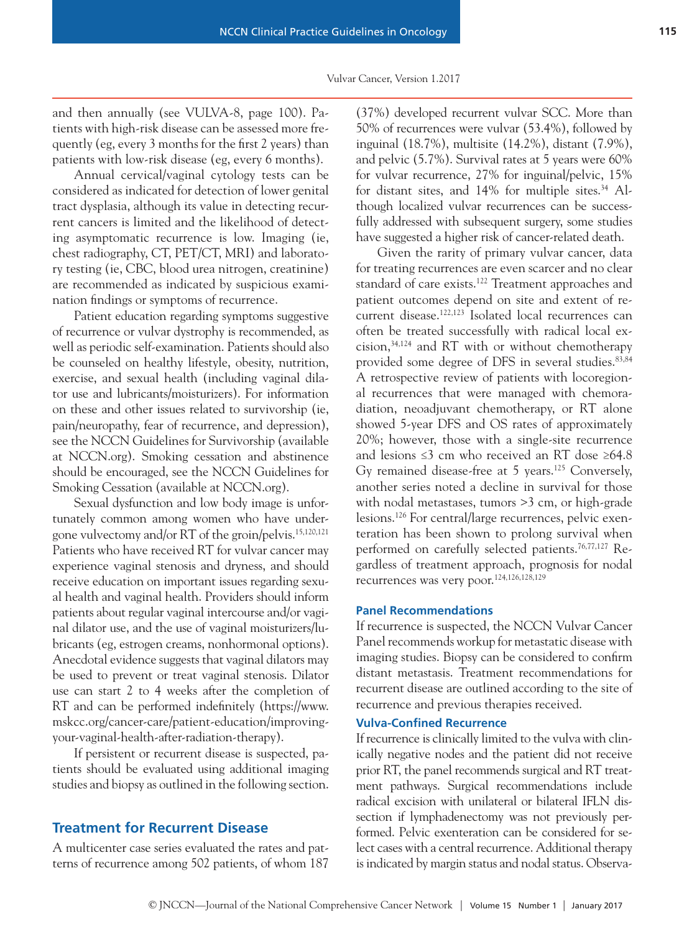and then annually (see VULVA-8, page 100). Patients with high-risk disease can be assessed more frequently (eg, every 3 months for the first 2 years) than patients with low-risk disease (eg, every 6 months).

Annual cervical/vaginal cytology tests can be considered as indicated for detection of lower genital tract dysplasia, although its value in detecting recurrent cancers is limited and the likelihood of detecting asymptomatic recurrence is low. Imaging (ie, chest radiography, CT, PET/CT, MRI) and laboratory testing (ie, CBC, blood urea nitrogen, creatinine) are recommended as indicated by suspicious examination findings or symptoms of recurrence.

Patient education regarding symptoms suggestive of recurrence or vulvar dystrophy is recommended, as well as periodic self-examination. Patients should also be counseled on healthy lifestyle, obesity, nutrition, exercise, and sexual health (including vaginal dilator use and lubricants/moisturizers). For information on these and other issues related to survivorship (ie, pain/neuropathy, fear of recurrence, and depression), see the NCCN Guidelines for Survivorship (available at NCCN.org). Smoking cessation and abstinence should be encouraged, see the NCCN Guidelines for Smoking Cessation (available at NCCN.org).

Sexual dysfunction and low body image is unfortunately common among women who have undergone vulvectomy and/or RT of the groin/pelvis.15,120,121 Patients who have received RT for vulvar cancer may experience vaginal stenosis and dryness, and should receive education on important issues regarding sexual health and vaginal health. Providers should inform patients about regular vaginal intercourse and/or vaginal dilator use, and the use of vaginal moisturizers/lubricants (eg, estrogen creams, nonhormonal options). Anecdotal evidence suggests that vaginal dilators may be used to prevent or treat vaginal stenosis. Dilator use can start 2 to 4 weeks after the completion of RT and can be performed indefinitely (https://www. mskcc.org/cancer-care/patient-education/improvingyour-vaginal-health-after-radiation-therapy).

If persistent or recurrent disease is suspected, patients should be evaluated using additional imaging studies and biopsy as outlined in the following section.

# **Treatment for Recurrent Disease**

A multicenter case series evaluated the rates and patterns of recurrence among 502 patients, of whom 187 (37%) developed recurrent vulvar SCC. More than 50% of recurrences were vulvar (53.4%), followed by inguinal (18.7%), multisite (14.2%), distant (7.9%), and pelvic (5.7%). Survival rates at 5 years were 60% for vulvar recurrence, 27% for inguinal/pelvic, 15% for distant sites, and 14% for multiple sites.<sup>34</sup> Although localized vulvar recurrences can be successfully addressed with subsequent surgery, some studies have suggested a higher risk of cancer-related death.

Given the rarity of primary vulvar cancer, data for treating recurrences are even scarcer and no clear standard of care exists.<sup>122</sup> Treatment approaches and patient outcomes depend on site and extent of recurrent disease.122,123 Isolated local recurrences can often be treated successfully with radical local excision,34,124 and RT with or without chemotherapy provided some degree of DFS in several studies.<sup>83,84</sup> A retrospective review of patients with locoregional recurrences that were managed with chemoradiation, neoadjuvant chemotherapy, or RT alone showed 5-year DFS and OS rates of approximately 20%; however, those with a single-site recurrence and lesions ≤3 cm who received an RT dose ≥64.8 Gy remained disease-free at 5 years.125 Conversely, another series noted a decline in survival for those with nodal metastases, tumors >3 cm, or high-grade lesions.126 For central/large recurrences, pelvic exenteration has been shown to prolong survival when performed on carefully selected patients.76,77,127 Regardless of treatment approach, prognosis for nodal recurrences was very poor.124,126,128,129

### **Panel Recommendations**

If recurrence is suspected, the NCCN Vulvar Cancer Panel recommends workup for metastatic disease with imaging studies. Biopsy can be considered to confirm distant metastasis. Treatment recommendations for recurrent disease are outlined according to the site of recurrence and previous therapies received.

### **Vulva-Confined Recurrence**

If recurrence is clinically limited to the vulva with clinically negative nodes and the patient did not receive prior RT, the panel recommends surgical and RT treatment pathways. Surgical recommendations include radical excision with unilateral or bilateral IFLN dissection if lymphadenectomy was not previously performed. Pelvic exenteration can be considered for select cases with a central recurrence. Additional therapy is indicated by margin status and nodal status. Observa-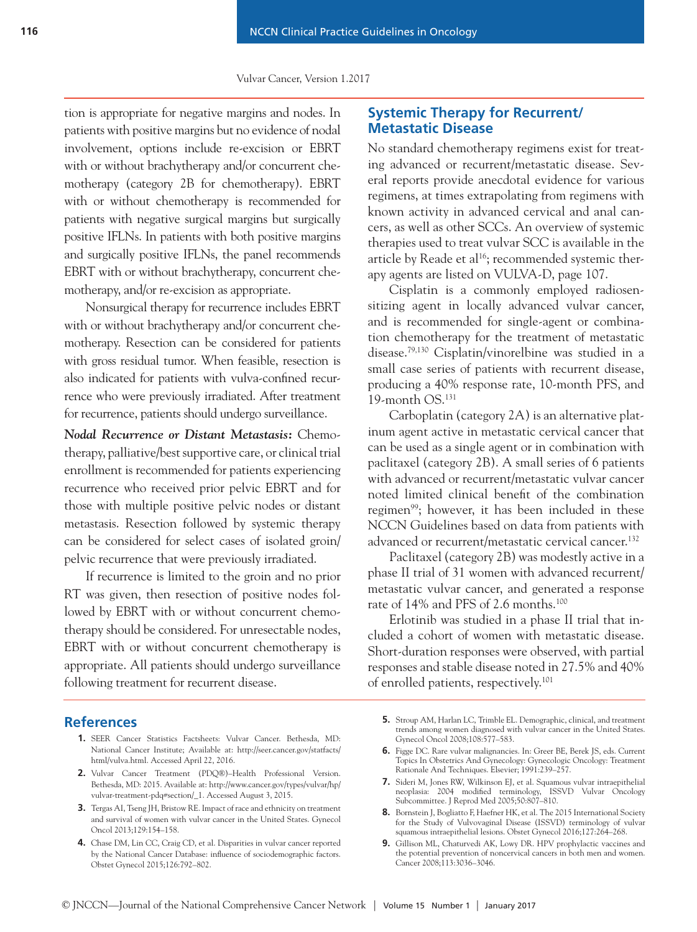tion is appropriate for negative margins and nodes. In patients with positive margins but no evidence of nodal involvement, options include re-excision or EBRT with or without brachytherapy and/or concurrent chemotherapy (category 2B for chemotherapy). EBRT with or without chemotherapy is recommended for patients with negative surgical margins but surgically positive IFLNs. In patients with both positive margins and surgically positive IFLNs, the panel recommends EBRT with or without brachytherapy, concurrent chemotherapy, and/or re-excision as appropriate.

Nonsurgical therapy for recurrence includes EBRT with or without brachytherapy and/or concurrent chemotherapy. Resection can be considered for patients with gross residual tumor. When feasible, resection is also indicated for patients with vulva-confined recurrence who were previously irradiated. After treatment for recurrence, patients should undergo surveillance.

*Nodal Recurrence or Distant Metastasis:* Chemotherapy, palliative/best supportive care, or clinical trial enrollment is recommended for patients experiencing recurrence who received prior pelvic EBRT and for those with multiple positive pelvic nodes or distant metastasis. Resection followed by systemic therapy can be considered for select cases of isolated groin/ pelvic recurrence that were previously irradiated.

If recurrence is limited to the groin and no prior RT was given, then resection of positive nodes followed by EBRT with or without concurrent chemotherapy should be considered. For unresectable nodes, EBRT with or without concurrent chemotherapy is appropriate. All patients should undergo surveillance following treatment for recurrent disease.

# **Systemic Therapy for Recurrent/ Metastatic Disease**

No standard chemotherapy regimens exist for treating advanced or recurrent/metastatic disease. Several reports provide anecdotal evidence for various regimens, at times extrapolating from regimens with known activity in advanced cervical and anal cancers, as well as other SCCs. An overview of systemic therapies used to treat vulvar SCC is available in the article by Reade et al<sup>16</sup>; recommended systemic therapy agents are listed on VULVA-D, page 107.

Cisplatin is a commonly employed radiosensitizing agent in locally advanced vulvar cancer, and is recommended for single-agent or combination chemotherapy for the treatment of metastatic disease.79,130 Cisplatin/vinorelbine was studied in a small case series of patients with recurrent disease, producing a 40% response rate, 10-month PFS, and 19-month OS.131

Carboplatin (category 2A) is an alternative platinum agent active in metastatic cervical cancer that can be used as a single agent or in combination with paclitaxel (category 2B). A small series of 6 patients with advanced or recurrent/metastatic vulvar cancer noted limited clinical benefit of the combination regimen<sup>99</sup>; however, it has been included in these NCCN Guidelines based on data from patients with advanced or recurrent/metastatic cervical cancer.<sup>132</sup>

Paclitaxel (category 2B) was modestly active in a phase II trial of 31 women with advanced recurrent/ metastatic vulvar cancer, and generated a response rate of 14% and PFS of 2.6 months.100

Erlotinib was studied in a phase II trial that included a cohort of women with metastatic disease. Short-duration responses were observed, with partial responses and stable disease noted in 27.5% and 40% of enrolled patients, respectively.101

### **References**

- **1.** SEER Cancer Statistics Factsheets: Vulvar Cancer. Bethesda, MD: National Cancer Institute; Available at: http://seer.cancer.gov/statfacts/ html/vulva.html. Accessed April 22, 2016.
- **2.** Vulvar Cancer Treatment (PDQ®)–Health Professional Version. Bethesda, MD: 2015. Available at: http://www.cancer.gov/types/vulvar/hp/ vulvar-treatment-pdq#section/\_1. Accessed August 3, 2015.
- **3.** Tergas AI, Tseng JH, Bristow RE. Impact of race and ethnicity on treatment and survival of women with vulvar cancer in the United States. Gynecol Oncol 2013;129:154–158.
- **4.** Chase DM, Lin CC, Craig CD, et al. Disparities in vulvar cancer reported by the National Cancer Database: influence of sociodemographic factors. Obstet Gynecol 2015;126:792–802.
- **5.** Stroup AM, Harlan LC, Trimble EL. Demographic, clinical, and treatment trends among women diagnosed with vulvar cancer in the United States. Gynecol Oncol 2008;108:577–583.
- **6.** Figge DC. Rare vulvar malignancies. In: Greer BE, Berek JS, eds. Current Topics In Obstetrics And Gynecology: Gynecologic Oncology: Treatment Rationale And Techniques. Elsevier; 1991:239–257.
- **7.** Sideri M, Jones RW, Wilkinson EJ, et al. Squamous vulvar intraepithelial neoplasia: 2004 modified terminology, ISSVD Vulvar Oncology Subcommittee. J Reprod Med 2005;50:807–810.
- **8.** Bornstein J, Bogliatto F, Haefner HK, et al. The 2015 International Society for the Study of Vulvovaginal Disease (ISSVD) terminology of vulvar squamous intraepithelial lesions. Obstet Gynecol 2016;127:264–268.
- **9.** Gillison ML, Chaturvedi AK, Lowy DR. HPV prophylactic vaccines and the potential prevention of noncervical cancers in both men and women. Cancer 2008;113:3036–3046.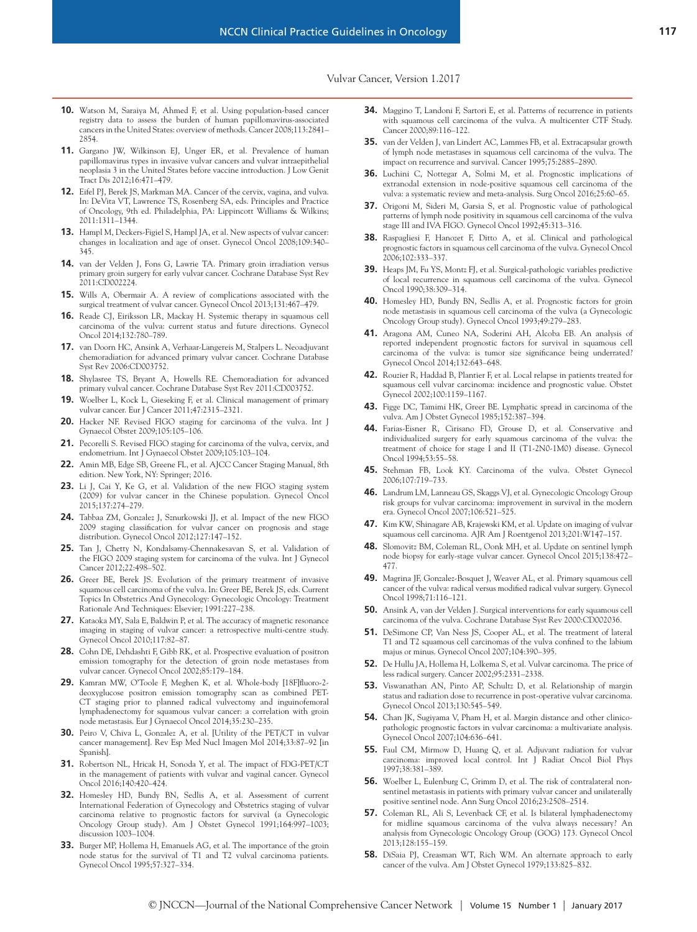- **10.** Watson M, Saraiya M, Ahmed F, et al. Using population-based cancer registry data to assess the burden of human papillomavirus-associated cancers in the United States: overview of methods. Cancer 2008;113:2841– 2854.
- **11.** Gargano JW, Wilkinson EJ, Unger ER, et al. Prevalence of human papillomavirus types in invasive vulvar cancers and vulvar intraepithelial neoplasia 3 in the United States before vaccine introduction. J Low Genit Tract Dis 2012;16:471–479.
- **12.** Eifel PJ, Berek JS, Markman MA. Cancer of the cervix, vagina, and vulva. In: DeVita VT, Lawrence TS, Rosenberg SA, eds. Principles and Practice of Oncology, 9th ed. Philadelphia, PA: Lippincott Williams & Wilkins; 2011:1311–1344.
- **13.** Hampl M, Deckers-Figiel S, Hampl JA, et al. New aspects of vulvar cancer: changes in localization and age of onset. Gynecol Oncol 2008;109:340– 345.
- **14.** van der Velden J, Fons G, Lawrie TA. Primary groin irradiation versus primary groin surgery for early vulvar cancer. Cochrane Database Syst Rev 2011:CD002224.
- **15.** Wills A, Obermair A. A review of complications associated with the surgical treatment of vulvar cancer. Gynecol Oncol 2013;131:467–479.
- **16.** Reade CJ, Eiriksson LR, Mackay H. Systemic therapy in squamous cell carcinoma of the vulva: current status and future directions. Gynecol Oncol 2014;132:780–789.
- **17.** van Doorn HC, Ansink A, Verhaar-Langereis M, Stalpers L. Neoadjuvant chemoradiation for advanced primary vulvar cancer. Cochrane Database Syst Rev 2006:CD003752.
- **18.** Shylasree TS, Bryant A, Howells RE. Chemoradiation for advanced primary vulval cancer. Cochrane Database Syst Rev 2011:CD003752.
- **19.** Woelber L, Kock L, Gieseking F, et al. Clinical management of primary vulvar cancer. Eur J Cancer 2011;47:2315–2321.
- **20.** Hacker NF. Revised FIGO staging for carcinoma of the vulva. Int J Gynaecol Obstet 2009;105:105–106.
- **21.** Pecorelli S. Revised FIGO staging for carcinoma of the vulva, cervix, and endometrium. Int J Gynaecol Obstet 2009;105:103–104.
- **22.** Amin MB, Edge SB, Greene FL, et al. AJCC Cancer Staging Manual, 8th edition. New York, NY: Springer; 2016.
- **23.** Li J, Cai Y, Ke G, et al. Validation of the new FIGO staging system (2009) for vulvar cancer in the Chinese population. Gynecol Oncol 2015;137:274–279.
- **24.** Tabbaa ZM, Gonzalez J, Sznurkowski JJ, et al. Impact of the new FIGO 2009 staging classification for vulvar cancer on prognosis and stage distribution. Gynecol Oncol 2012;127:147–152.
- **25.** Tan J, Chetty N, Kondalsamy-Chennakesavan S, et al. Validation of the FIGO 2009 staging system for carcinoma of the vulva. Int J Gynecol Cancer 2012;22:498–502.
- **26.** Greer BE, Berek JS. Evolution of the primary treatment of invasive squamous cell carcinoma of the vulva. In: Greer BE, Berek JS, eds. Current Topics In Obstetrics And Gynecology: Gynecologic Oncology: Treatment Rationale And Techniques: Elsevier; 1991:227–238.
- **27.** Kataoka MY, Sala E, Baldwin P, et al. The accuracy of magnetic resonance imaging in staging of vulvar cancer: a retrospective multi-centre study. Gynecol Oncol 2010;117:82–87.
- **28.** Cohn DE, Dehdashti F, Gibb RK, et al. Prospective evaluation of positron emission tomography for the detection of groin node metastases from vulvar cancer. Gynecol Oncol 2002;85:179–184.
- **29.** Kamran MW, O'Toole F, Meghen K, et al. Whole-body [18F]fluoro-2 deoxyglucose positron emission tomography scan as combined PET-CT staging prior to planned radical vulvectomy and inguinofemoral lymphadenectomy for squamous vulvar cancer: a correlation with groin node metastasis. Eur J Gynaecol Oncol 2014;35:230–235.
- **30.** Peiro V, Chiva L, Gonzalez A, et al. [Utility of the PET/CT in vulvar cancer management]. Rev Esp Med Nucl Imagen Mol 2014;33:87–92 [in Spanish].
- **31.** Robertson NL, Hricak H, Sonoda Y, et al. The impact of FDG-PET/CT in the management of patients with vulvar and vaginal cancer. Gynecol Oncol 2016;140:420–424.
- **32.** Homesley HD, Bundy BN, Sedlis A, et al. Assessment of current International Federation of Gynecology and Obstetrics staging of vulvar carcinoma relative to prognostic factors for survival (a Gynecologic Oncology Group study). Am J Obstet Gynecol 1991;164:997–1003; discussion 1003–1004.
- **33.** Burger MP, Hollema H, Emanuels AG, et al. The importance of the groin node status for the survival of T1 and T2 vulval carcinoma patients. Gynecol Oncol 1995;57:327–334.
- **34.** Maggino T, Landoni F, Sartori E, et al. Patterns of recurrence in patients with squamous cell carcinoma of the vulva. A multicenter CTF Study. Cancer 2000;89:116–122.
- **35.** van der Velden J, van Lindert AC, Lammes FB, et al. Extracapsular growth of lymph node metastases in squamous cell carcinoma of the vulva. The impact on recurrence and survival. Cancer 1995;75:2885–2890.
- **36.** Luchini C, Nottegar A, Solmi M, et al. Prognostic implications of extranodal extension in node-positive squamous cell carcinoma of the vulva: a systematic review and meta-analysis. Surg Oncol 2016;25:60–65.
- **37.** Origoni M, Sideri M, Garsia S, et al. Prognostic value of pathological patterns of lymph node positivity in squamous cell carcinoma of the vulva stage III and IVA FIGO. Gynecol Oncol 1992;45:313–316.
- **38.** Raspagliesi F, Hanozet F, Ditto A, et al. Clinical and pathological prognostic factors in squamous cell carcinoma of the vulva. Gynecol Oncol 2006;102:333–337.
- **39.** Heaps JM, Fu YS, Montz FJ, et al. Surgical-pathologic variables predictive of local recurrence in squamous cell carcinoma of the vulva. Gynecol Oncol 1990;38:309–314.
- **40.** Homesley HD, Bundy BN, Sedlis A, et al. Prognostic factors for groin node metastasis in squamous cell carcinoma of the vulva (a Gynecologic Oncology Group study). Gynecol Oncol 1993;49:279–283.
- **41.** Aragona AM, Cuneo NA, Soderini AH, Alcoba EB. An analysis of reported independent prognostic factors for survival in squamous cell carcinoma of the vulva: is tumor size significance being underrated? Gynecol Oncol 2014;132:643–648.
- **42.** Rouzier R, Haddad B, Plantier F, et al. Local relapse in patients treated for squamous cell vulvar carcinoma: incidence and prognostic value. Obstet Gynecol 2002;100:1159–1167.
- **43.** Figge DC, Tamimi HK, Greer BE. Lymphatic spread in carcinoma of the vulva. Am J Obstet Gynecol 1985;152:387–394.
- **44.** Farias-Eisner R, Cirisano FD, Grouse D, et al. Conservative and individualized surgery for early squamous carcinoma of the vulva: the treatment of choice for stage I and II (T1-2N0-1M0) disease. Gynecol Oncol 1994;53:55–58.
- **45.** Stehman FB, Look KY. Carcinoma of the vulva. Obstet Gynecol 2006;107:719–733.
- **46.** Landrum LM, Lanneau GS, Skaggs VJ, et al. Gynecologic Oncology Group risk groups for vulvar carcinoma: improvement in survival in the modern era. Gynecol Oncol 2007;106:521–525.
- **47.** Kim KW, Shinagare AB, Krajewski KM, et al. Update on imaging of vulvar squamous cell carcinoma. AJR Am J Roentgenol 2013;201:W147–157.
- **48.** Slomovitz BM, Coleman RL, Oonk MH, et al. Update on sentinel lymph node biopsy for early-stage vulvar cancer. Gynecol Oncol 2015;138:472– 477.
- **49.** Magrina JF, Gonzalez-Bosquet J, Weaver AL, et al. Primary squamous cell cancer of the vulva: radical versus modified radical vulvar surgery. Gynecol Oncol 1998;71:116–121.
- **50.** Ansink A, van der Velden J. Surgical interventions for early squamous cell carcinoma of the vulva. Cochrane Database Syst Rev 2000:CD002036.
- **51.** DeSimone CP, Van Ness JS, Cooper AL, et al. The treatment of lateral T1 and T2 squamous cell carcinomas of the vulva confined to the labium majus or minus. Gynecol Oncol 2007;104:390–395.
- **52.** De Hullu JA, Hollema H, Lolkema S, et al. Vulvar carcinoma. The price of less radical surgery. Cancer 2002;95:2331–2338.
- **53.** Viswanathan AN, Pinto AP, Schultz D, et al. Relationship of margin status and radiation dose to recurrence in post-operative vulvar carcinoma. Gynecol Oncol 2013;130:545–549.
- **54.** Chan JK, Sugiyama V, Pham H, et al. Margin distance and other clinicopathologic prognostic factors in vulvar carcinoma: a multivariate analysis. Gynecol Oncol 2007;104:636–641.
- **55.** Faul CM, Mirmow D, Huang Q, et al. Adjuvant radiation for vulvar carcinoma: improved local control. Int J Radiat Oncol Biol Phys 1997;38:381–389.
- **56.** Woelber L, Eulenburg C, Grimm D, et al. The risk of contralateral nonsentinel metastasis in patients with primary vulvar cancer and unilaterally positive sentinel node. Ann Surg Oncol 2016;23:2508–2514.
- **57.** Coleman RL, Ali S, Levenback CF, et al. Is bilateral lymphadenectomy for midline squamous carcinoma of the vulva always necessary? An analysis from Gynecologic Oncology Group (GOG) 173. Gynecol Oncol 2013;128:155–159.
- **58.** DiSaia PJ, Creasman WT, Rich WM. An alternate approach to early cancer of the vulva. Am J Obstet Gynecol 1979;133:825–832.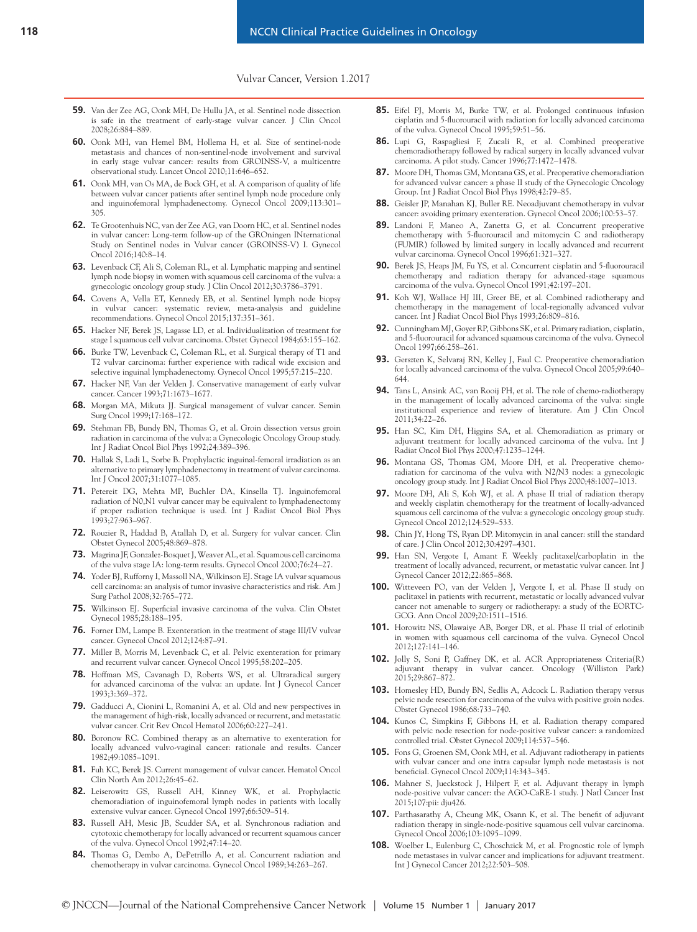- **59.** Van der Zee AG, Oonk MH, De Hullu JA, et al. Sentinel node dissection is safe in the treatment of early-stage vulvar cancer. J Clin Oncol 2008;26:884–889.
- **60.** Oonk MH, van Hemel BM, Hollema H, et al. Size of sentinel-node metastasis and chances of non-sentinel-node involvement and survival in early stage vulvar cancer: results from GROINSS-V, a multicentre observational study. Lancet Oncol 2010;11:646–652.
- **61.** Oonk MH, van Os MA, de Bock GH, et al. A comparison of quality of life between vulvar cancer patients after sentinel lymph node procedure only and inguinofemoral lymphadenectomy. Gynecol Oncol 2009;113:301– 305.
- **62.** Te Grootenhuis NC, van der Zee AG, van Doorn HC, et al. Sentinel nodes in vulvar cancer: Long-term follow-up of the GROningen INternational Study on Sentinel nodes in Vulvar cancer (GROINSS-V) I. Gynecol Oncol 2016;140:8–14.
- **63.** Levenback CF, Ali S, Coleman RL, et al. Lymphatic mapping and sentinel lymph node biopsy in women with squamous cell carcinoma of the vulva: a gynecologic oncology group study. J Clin Oncol 2012;30:3786–3791.
- **64.** Covens A, Vella ET, Kennedy EB, et al. Sentinel lymph node biopsy in vulvar cancer: systematic review, meta-analysis and guideline recommendations. Gynecol Oncol 2015;137:351–361.
- **65.** Hacker NF, Berek JS, Lagasse LD, et al. Individualization of treatment for stage I squamous cell vulvar carcinoma. Obstet Gynecol 1984;63:155–162.
- **66.** Burke TW, Levenback C, Coleman RL, et al. Surgical therapy of T1 and T2 vulvar carcinoma: further experience with radical wide excision and selective inguinal lymphadenectomy. Gynecol Oncol 1995;57:215–220.
- **67.** Hacker NF, Van der Velden J. Conservative management of early vulvar cancer. Cancer 1993;71:1673–1677.
- **68.** Morgan MA, Mikuta JJ. Surgical management of vulvar cancer. Semin Surg Oncol 1999;17:168–172.
- **69.** Stehman FB, Bundy BN, Thomas G, et al. Groin dissection versus groin radiation in carcinoma of the vulva: a Gynecologic Oncology Group study. Int J Radiat Oncol Biol Phys 1992;24:389–396.
- **70.** Hallak S, Ladi L, Sorbe B. Prophylactic inguinal-femoral irradiation as an alternative to primary lymphadenectomy in treatment of vulvar carcinoma. Int J Oncol 2007;31:1077–1085.
- **71.** Petereit DG, Mehta MP, Buchler DA, Kinsella TJ. Inguinofemoral radiation of N0,N1 vulvar cancer may be equivalent to lymphadenectomy if proper radiation technique is used. Int J Radiat Oncol Biol Phys 1993;27:963–967.
- **72.** Rouzier R, Haddad B, Atallah D, et al. Surgery for vulvar cancer. Clin Obstet Gynecol 2005;48:869–878.
- **73.** Magrina JF, Gonzalez-Bosquet J, Weaver AL, et al. Squamous cell carcinoma of the vulva stage IA: long-term results. Gynecol Oncol 2000;76:24–27.
- **74.** Yoder BJ, Rufforny I, Massoll NA, Wilkinson EJ. Stage IA vulvar squamous cell carcinoma: an analysis of tumor invasive characteristics and risk. Am J Surg Pathol 2008;32:765–772.
- **75.** Wilkinson EJ. Superficial invasive carcinoma of the vulva. Clin Obstet Gynecol 1985;28:188–195.
- **76.** Forner DM, Lampe B. Exenteration in the treatment of stage III/IV vulvar cancer. Gynecol Oncol 2012;124:87–91.
- **77.** Miller B, Morris M, Levenback C, et al. Pelvic exenteration for primary and recurrent vulvar cancer. Gynecol Oncol 1995;58:202–205.
- **78.** Hoffman MS, Cavanagh D, Roberts WS, et al. Ultraradical surgery for advanced carcinoma of the vulva: an update. Int J Gynecol Cancer 1993;3:369–372.
- **79.** Gadducci A, Cionini L, Romanini A, et al. Old and new perspectives in the management of high-risk, locally advanced or recurrent, and metastatic vulvar cancer. Crit Rev Oncol Hematol 2006;60:227–241.
- **80.** Boronow RC. Combined therapy as an alternative to exenteration for locally advanced vulvo-vaginal cancer: rationale and results. Cancer 1982;49:1085–1091.
- **81.** Fuh KC, Berek JS. Current management of vulvar cancer. Hematol Oncol Clin North Am 2012;26:45–62.
- **82.** Leiserowitz GS, Russell AH, Kinney WK, et al. Prophylactic chemoradiation of inguinofemoral lymph nodes in patients with locally extensive vulvar cancer. Gynecol Oncol 1997;66:509–514.
- **83.** Russell AH, Mesic JB, Scudder SA, et al. Synchronous radiation and cytotoxic chemotherapy for locally advanced or recurrent squamous cancer of the vulva. Gynecol Oncol 1992;47:14–20.
- **84.** Thomas G, Dembo A, DePetrillo A, et al. Concurrent radiation and chemotherapy in vulvar carcinoma. Gynecol Oncol 1989;34:263–267.
- **85.** Eifel PJ, Morris M, Burke TW, et al. Prolonged continuous infusion cisplatin and 5-fluorouracil with radiation for locally advanced carcinoma of the vulva. Gynecol Oncol 1995;59:51–56.
- **86.** Lupi G, Raspagliesi F, Zucali R, et al. Combined preoperative chemoradiotherapy followed by radical surgery in locally advanced vulvar carcinoma. A pilot study. Cancer 1996;77:1472–1478.
- **87.** Moore DH, Thomas GM, Montana GS, et al. Preoperative chemoradiation for advanced vulvar cancer: a phase II study of the Gynecologic Oncology Group. Int J Radiat Oncol Biol Phys 1998;42:79–85.
- **88.** Geisler JP, Manahan KJ, Buller RE. Neoadjuvant chemotherapy in vulvar cancer: avoiding primary exenteration. Gynecol Oncol 2006;100:53–57.
- **89.** Landoni F, Maneo A, Zanetta G, et al. Concurrent preoperative chemotherapy with 5-fluorouracil and mitomycin C and radiotherapy (FUMIR) followed by limited surgery in locally advanced and recurrent vulvar carcinoma. Gynecol Oncol 1996;61:321–327.
- **90.** Berek JS, Heaps JM, Fu YS, et al. Concurrent cisplatin and 5-fluorouracil chemotherapy and radiation therapy for advanced-stage squamous carcinoma of the vulva. Gynecol Oncol 1991;42:197–201.
- **91.** Koh WJ, Wallace HJ III, Greer BE, et al. Combined radiotherapy and chemotherapy in the management of local-regionally advanced vulvar cancer. Int J Radiat Oncol Biol Phys 1993;26:809–816.
- **92.** Cunningham MJ, Goyer RP, Gibbons SK, et al. Primary radiation, cisplatin, and 5-fluorouracil for advanced squamous carcinoma of the vulva. Gynecol Oncol 1997;66:258–261.
- **93.** Gerszten K, Selvaraj RN, Kelley J, Faul C. Preoperative chemoradiation for locally advanced carcinoma of the vulva. Gynecol Oncol 2005;99:640– 644.
- **94.** Tans L, Ansink AC, van Rooij PH, et al. The role of chemo-radiotherapy in the management of locally advanced carcinoma of the vulva: single institutional experience and review of literature. Am J Clin Oncol 2011;34:22–26.
- **95.** Han SC, Kim DH, Higgins SA, et al. Chemoradiation as primary or adjuvant treatment for locally advanced carcinoma of the vulva. Int J Radiat Oncol Biol Phys 2000;47:1235–1244.
- **96.** Montana GS, Thomas GM, Moore DH, et al. Preoperative chemoradiation for carcinoma of the vulva with N2/N3 nodes: a gynecologic oncology group study. Int J Radiat Oncol Biol Phys 2000;48:1007–1013.
- **97.** Moore DH, Ali S, Koh WJ, et al. A phase II trial of radiation therapy and weekly cisplatin chemotherapy for the treatment of locally-advanced squamous cell carcinoma of the vulva: a gynecologic oncology group study. Gynecol Oncol 2012;124:529–533.
- **98.** Chin JY, Hong TS, Ryan DP. Mitomycin in anal cancer: still the standard of care. J Clin Oncol 2012;30:4297–4301.
- **99.** Han SN, Vergote I, Amant F. Weekly paclitaxel/carboplatin in the treatment of locally advanced, recurrent, or metastatic vulvar cancer. Int J Gynecol Cancer 2012;22:865–868.
- **100.** Witteveen PO, van der Velden J, Vergote I, et al. Phase II study on paclitaxel in patients with recurrent, metastatic or locally advanced vulvar cancer not amenable to surgery or radiotherapy: a study of the EORTC-GCG. Ann Oncol 2009;20:1511–1516.
- **101.** Horowitz NS, Olawaiye AB, Borger DR, et al. Phase II trial of erlotinib in women with squamous cell carcinoma of the vulva. Gynecol Oncol 2012;127:141–146.
- **102.** Jolly S, Soni P, Gaffney DK, et al. ACR Appropriateness Criteria(R) adjuvant therapy in vulvar cancer. Oncology (Williston Park) 2015;29:867–872.
- **103.** Homesley HD, Bundy BN, Sedlis A, Adcock L. Radiation therapy versus pelvic node resection for carcinoma of the vulva with positive groin nodes. Obstet Gynecol 1986;68:733–740.
- **104.** Kunos C, Simpkins F, Gibbons H, et al. Radiation therapy compared with pelvic node resection for node-positive vulvar cancer: a randomized controlled trial. Obstet Gynecol 2009;114:537–546.
- **105.** Fons G, Groenen SM, Oonk MH, et al. Adjuvant radiotherapy in patients with vulvar cancer and one intra capsular lymph node metastasis is not beneficial. Gynecol Oncol 2009;114:343–345.
- **106.** Mahner S, Jueckstock J, Hilpert F, et al. Adjuvant therapy in lymph node-positive vulvar cancer: the AGO-CaRE-1 study. J Natl Cancer Inst 2015;107:pii: dju426.
- **107.** Parthasarathy A, Cheung MK, Osann K, et al. The benefit of adjuvant radiation therapy in single-node-positive squamous cell vulvar carcinoma. Gynecol Oncol 2006;103:1095–1099.
- **108.** Woelber L, Eulenburg C, Choschzick M, et al. Prognostic role of lymph node metastases in vulvar cancer and implications for adjuvant treatment. Int J Gynecol Cancer 2012;22:503–508.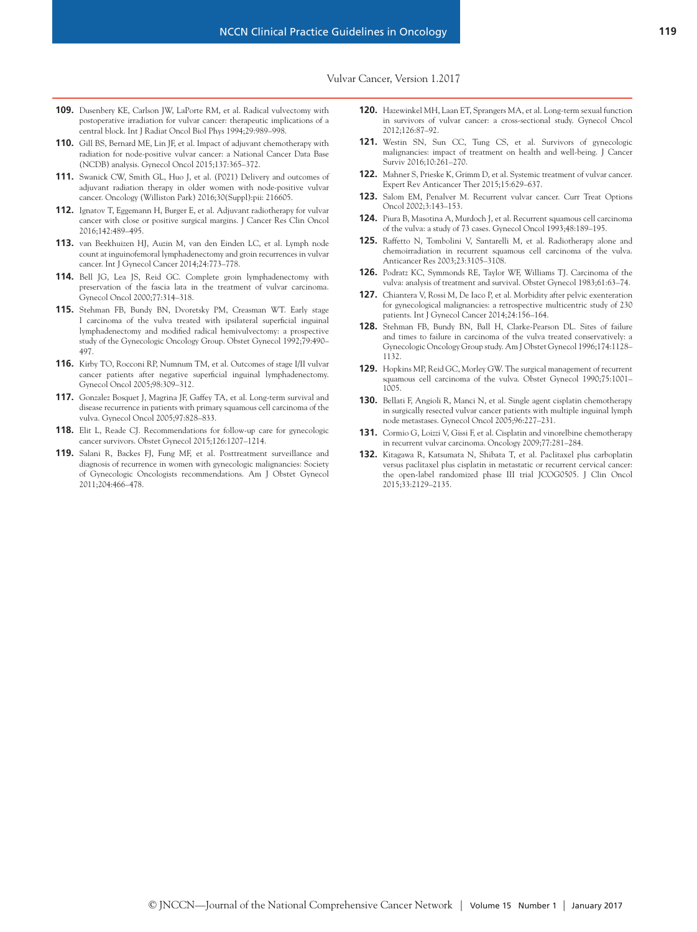- **109.** Dusenbery KE, Carlson JW, LaPorte RM, et al. Radical vulvectomy with postoperative irradiation for vulvar cancer: therapeutic implications of a central block. Int J Radiat Oncol Biol Phys 1994;29:989–998.
- **110.** Gill BS, Bernard ME, Lin JF, et al. Impact of adjuvant chemotherapy with radiation for node-positive vulvar cancer: a National Cancer Data Base (NCDB) analysis. Gynecol Oncol 2015;137:365–372.
- **111.** Swanick CW, Smith GL, Huo J, et al. (P021) Delivery and outcomes of adjuvant radiation therapy in older women with node-positive vulvar cancer. Oncology (Williston Park) 2016;30(Suppl):pii: 216605.
- **112.** Ignatov T, Eggemann H, Burger E, et al. Adjuvant radiotherapy for vulvar cancer with close or positive surgical margins. J Cancer Res Clin Oncol 2016;142:489–495.
- **113.** van Beekhuizen HJ, Auzin M, van den Einden LC, et al. Lymph node count at inguinofemoral lymphadenectomy and groin recurrences in vulvar cancer. Int J Gynecol Cancer 2014;24:773–778.
- **114.** Bell JG, Lea JS, Reid GC. Complete groin lymphadenectomy with preservation of the fascia lata in the treatment of vulvar carcinoma. Gynecol Oncol 2000;77:314–318.
- **115.** Stehman FB, Bundy BN, Dvoretsky PM, Creasman WT. Early stage I carcinoma of the vulva treated with ipsilateral superficial inguinal lymphadenectomy and modified radical hemivulvectomy: a prospective study of the Gynecologic Oncology Group. Obstet Gynecol 1992;79:490– 497.
- **116.** Kirby TO, Rocconi RP, Numnum TM, et al. Outcomes of stage I/II vulvar cancer patients after negative superficial inguinal lymphadenectomy. Gynecol Oncol 2005;98:309–312.
- **117.** Gonzalez Bosquet J, Magrina JF, Gaffey TA, et al. Long-term survival and disease recurrence in patients with primary squamous cell carcinoma of the vulva. Gynecol Oncol 2005;97:828–833.
- **118.** Elit L, Reade CJ. Recommendations for follow-up care for gynecologic cancer survivors. Obstet Gynecol 2015;126:1207–1214.
- **119.** Salani R, Backes FJ, Fung MF, et al. Posttreatment surveillance and diagnosis of recurrence in women with gynecologic malignancies: Society of Gynecologic Oncologists recommendations. Am J Obstet Gynecol 2011;204:466–478.
- **120.** Hazewinkel MH, Laan ET, Sprangers MA, et al. Long-term sexual function in survivors of vulvar cancer: a cross-sectional study. Gynecol Oncol 2012;126:87–92.
- **121.** Westin SN, Sun CC, Tung CS, et al. Survivors of gynecologic malignancies: impact of treatment on health and well-being. J Cancer Surviv 2016;10:261–270.
- **122.** Mahner S, Prieske K, Grimm D, et al. Systemic treatment of vulvar cancer. Expert Rev Anticancer Ther 2015;15:629–637.
- **123.** Salom EM, Penalver M. Recurrent vulvar cancer. Curr Treat Options Oncol 2002;3:143–153.
- **124.** Piura B, Masotina A, Murdoch J, et al. Recurrent squamous cell carcinoma of the vulva: a study of 73 cases. Gynecol Oncol 1993;48:189–195.
- **125.** Raffetto N, Tombolini V, Santarelli M, et al. Radiotherapy alone and chemoirradiation in recurrent squamous cell carcinoma of the vulva. Anticancer Res 2003;23:3105–3108.
- **126.** Podratz KC, Symmonds RE, Taylor WF, Williams TJ. Carcinoma of the vulva: analysis of treatment and survival. Obstet Gynecol 1983;61:63–74.
- **127.** Chiantera V, Rossi M, De Iaco P, et al. Morbidity after pelvic exenteration for gynecological malignancies: a retrospective multicentric study of 230 patients. Int J Gynecol Cancer 2014;24:156–164.
- **128.** Stehman FB, Bundy BN, Ball H, Clarke-Pearson DL. Sites of failure and times to failure in carcinoma of the vulva treated conservatively: a Gynecologic Oncology Group study. Am J Obstet Gynecol 1996;174:1128– 1132.
- **129.** Hopkins MP, Reid GC, Morley GW. The surgical management of recurrent squamous cell carcinoma of the vulva. Obstet Gynecol 1990;75:1001– 1005.
- **130.** Bellati F, Angioli R, Manci N, et al. Single agent cisplatin chemotherapy in surgically resected vulvar cancer patients with multiple inguinal lymph node metastases. Gynecol Oncol 2005;96:227–231.
- **131.** Cormio G, Loizzi V, Gissi F, et al. Cisplatin and vinorelbine chemotherapy in recurrent vulvar carcinoma. Oncology 2009;77:281–284.
- **132.** Kitagawa R, Katsumata N, Shibata T, et al. Paclitaxel plus carboplatin versus paclitaxel plus cisplatin in metastatic or recurrent cervical cancer: the open-label randomized phase III trial JCOG0505. J Clin Oncol 2015;33:2129–2135.